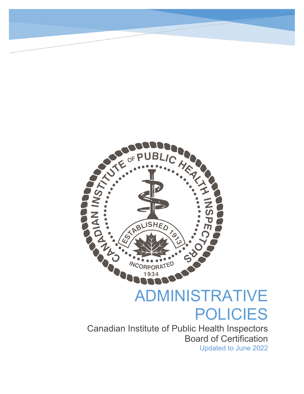

# ADMINISTRATIVE POLICIES

Updated to June 2022 Canadian Institute of Public Health Inspectors Board of Certification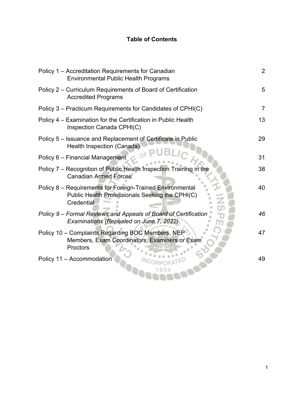# **Table of Contents**

| Policy 1 - Accreditation Requirements for Canadian<br><b>Environmental Public Health Programs</b>                          | $\overline{2}$ |
|----------------------------------------------------------------------------------------------------------------------------|----------------|
| Policy 2 - Curriculum Requirements of Board of Certification<br><b>Accredited Programs</b>                                 | 5              |
| Policy 3 – Practicum Requirements for Candidates of CPHI(C)                                                                | $\overline{7}$ |
| Policy 4 – Examination for the Certification in Public Health<br>Inspection Canada CPHI(C)                                 | 13             |
| Policy 5 – Issuance and Replacement of Certificate in Public<br>Health Inspection (Canada)                                 | 29             |
| Policy 6 - Financial Management                                                                                            | 31             |
| Policy 7 - Recognition of Public Health Inspection Training in the<br><b>Canadian Armed Forces</b>                         | 38             |
| Policy 8 - Requirements for Foreign-Trained Environmental<br>Public Health Professionals Seeking the CPHI(C)<br>Credential | 40             |
| Policy 9 - Formal Reviews and Appeals of Board of Certification<br>Examinations (Repealed on June 7, 2022)                 | 46             |
| Policy 10 - Complaints Regarding BOC Members, NEP<br>Members, Exam Coordinators, Examiners or Exam<br>Proctors             | 47             |
| Policy 11 - Accommodation                                                                                                  | 49             |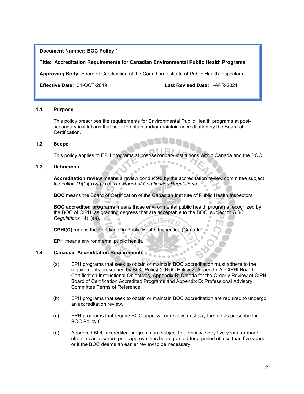#### **Title: Accreditation Requirements for Canadian Environmental Public Health Programs**

**Approving Body:** Board of Certification of the Canadian Institute of Public Health Inspectors

**Effective Date:** 31-OCT-2019 **Last Revised Date:** 1-APR-2021

#### **1.1 Purpose**

This policy prescribes the requirements for Environmental Public Health programs at postsecondary institutions that seek to obtain and/or maintain accreditation by the Board of Certification.

#### **1.2 Scope**

This policy applies to EPH programs at post-secondary institutions within Canada and the BOC.

### **1.3 Definitions**

**Accreditation review** means a review conducted by the accreditation review committee subject to section 19(1)(a) & (b) of *The Board of Certification Regulations.*

**BOC** means the Board of Certification of the Canadian Institute of Public Health Inspectors.

**BOC accredited programs** means those environmental public health programs recognized by the BOC of CIPHI as granting degrees that are acceptable to the BOC, subject to *BOC Regulations* 14(1)(a). **SH<sub>E</sub>** 

**CPHI(C)** means the Certificate in Public Health Inspection (Canada).

**EPH** means environmental public health.

#### **1.4 Canadian Accreditation Requirements**

- (a) EPH programs that seek to obtain or maintain BOC accreditation must adhere to the requirements prescribed by BOC Policy 1, BOC Policy 2, Appendix A: CIPHI Board of Certification Instructional Objectives, Appendix B: Criteria for the Orderly Review of CIPHI Board of Certification Accredited Programs and Appendix D: Professional Advisory Committee Terms of Reference.
- (b) EPH programs that seek to obtain or maintain BOC accreditation are required to undergo an accreditation review.
- (c) EPH programs that require BOC approval or review must pay the fee as prescribed in BOC Policy 6.
- (d) Approved BOC accredited programs are subject to a review every five years, or more often in cases where prior approval has been granted for a period of less than five years, or if the BOC deems an earlier review to be necessary.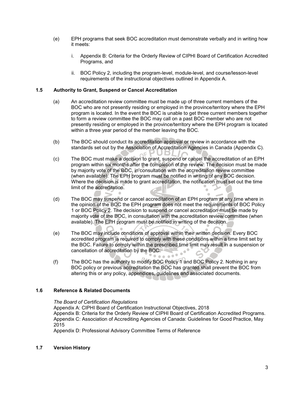- (e) EPH programs that seek BOC accreditation must demonstrate verbally and in writing how it meets:
	- i. Appendix B: Criteria for the Orderly Review of CIPHI Board of Certification Accredited Programs, and
	- ii. BOC Policy 2, including the program-level, module-level, and course/lesson-level requirements of the instructional objectives outlined in Appendix A.

#### **1.5 Authority to Grant, Suspend or Cancel Accreditation**

- (a) An accreditation review committee must be made up of three current members of the BOC who are not presently residing or employed in the province/territory where the EPH program is located. In the event the BOC is unable to get three current members together to form a review committee the BOC may call on a past BOC member who are not presently residing or employed in the province/territory where the EPH program is located within a three year period of the member leaving the BOC.
- (b) The BOC should conduct its accreditation approval or review in accordance with the standards set out by the Association of Accreditation Agencies in Canada (Appendix C).
- (c) The BOC must make a decision to grant, suspend or cancel the accreditation of an EPH program within six months after the completion of the review. The decision must be made by majority vote of the BOC, in consultation with the accreditation review committee (when available). The EPH program must be notified in writing of any BOC decision. Where the decision is made to grant accreditation, the notification must set out the time limit of the accreditation. 'n

 $\alpha$ 

- (d) The BOC may suspend or cancel accreditation of an EPH program at any time where in the opinion of the BOC the EPH program does not meet the requirements of BOC Policy 1 or BOC Policy 2. The decision to suspend or cancel accreditation must be made by majority vote of the BOC, in consultation with the accreditation review committee (when available). The EPH program must be notified in writing of the decision.
- (e) The BOC may include conditions of approval within their written decision. Every BOC accredited program is required to comply with these conditions within a time limit set by the BOC. Failure to comply within the prescribed time limit may result in a suspension or cancellation of accreditation by the BOC.  $\bullet^\bullet$
- (f) The BOC has the authority to modify BOC Policy 1 and BOC Policy 2. Nothing in any BOC policy or previous accreditation the BOC has granted shall prevent the BOC from altering this or any policy, appendices, guidelines and associated documents.

#### **1.6 Reference & Related Documents**

*The Board of Certification Regulations* Appendix A: CIPHI Board of Certification Instructional Objectives, 2018 Appendix B: Criteria for the Orderly Review of CIPHI Board of Certification Accredited Programs. Appendix C: Association of Accrediting Agencies of Canada: Guidelines for Good Practice, May 2015

Appendix D: Professional Advisory Committee Terms of Reference

#### **1.7 Version History**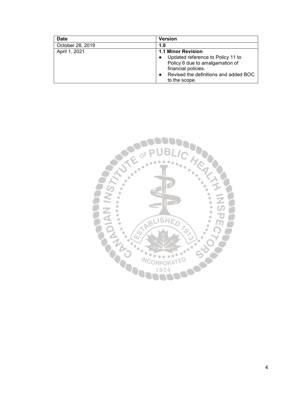| <b>Date</b>      | <b>Version</b>                        |
|------------------|---------------------------------------|
| October 28, 2019 | 1.0                                   |
| April 1, 2021    | 1.1 Minor Revision                    |
|                  | Updated reference to Policy 11 to     |
|                  | Policy 6 due to amalgamation of       |
|                  | financial policies.                   |
|                  | Revised the definitions and added BOC |
|                  | to the scope.                         |

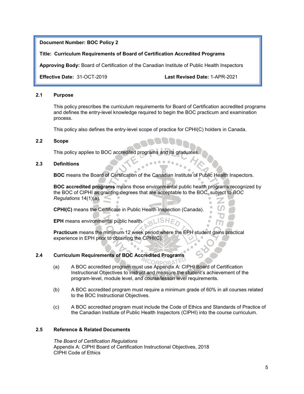#### **Title: Curriculum Requirements of Board of Certification Accredited Programs**

**Approving Body:** Board of Certification of the Canadian Institute of Public Health Inspectors

**Effective Date:** 31-OCT-2019 **Last Revised Date:** 1-APR-2021

#### **2.1 Purpose**

This policy prescribes the curriculum requirements for Board of Certification accredited programs and defines the entry-level knowledge required to begin the BOC practicum and examination process.

This policy also defines the entry-level scope of practice for CPHI(C) holders in Canada.

#### **2.2 Scope**

This policy applies to BOC accredited programs and its graduate

#### **2.3 Definitions**

**BOC** means the Board of Certification of the Canadian Institute of Public Health Inspectors.

**BOC accredited programs** means those environmental public health programs recognized by the BOC of CIPHI as granting degrees that are acceptable to the BOC, subject to *BOC Regulations* 14(1)(a).

**CPHI(C)** means the Certificate in Public Health Inspection (Canada).

**EPH** means environmental public health.

**Practicum** means the minimum 12 week period where the EPH student gains practical experience in EPH prior to obtaining the CPHI(C).

#### **2.4 Curriculum Requirements of BOC Accredited Programs**

**NCORPORATE** 

- (a) A BOC accredited program must use Appendix A: CIPHI Board of Certification Instructional Objectives to instruct and measure the student's achievement of the program-level, module level, and course/lesson level requirements.
- (b) A BOC accredited program must require a minimum grade of 60% in all courses related to the BOC Instructional Objectives.
- (c) A BOC accredited program must include the Code of Ethics and Standards of Practice of the Canadian Institute of Public Health Inspectors (CIPHI) into the course curriculum.

## **2.5 Reference & Related Documents**

*The Board of Certification Regulations* Appendix A: CIPHI Board of Certification Instructional Objectives, 2018 CIPHI Code of Ethics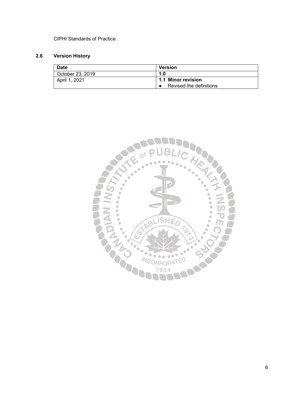## CIPHI Standards of Practice

# **2.6 Version History**

| Date             | <b>Version</b>          |
|------------------|-------------------------|
| October 23, 2019 | 1.0                     |
| April 1, 2021    | 1.1 Minor revision      |
|                  | Revised the definitions |

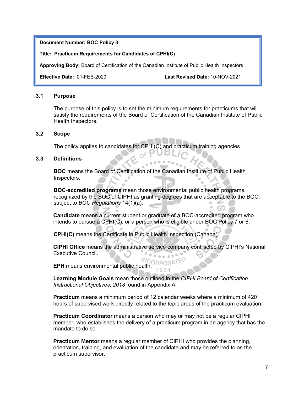#### **Title: Practicum Requirements for Candidates of CPHI(C)**

**Approving Body:** Board of Certification of the Canadian Institute of Public Health Inspectors

**Effective Date:** 01-FEB-2020 **Last Revised Date:** 10-NOV-2021

#### **3.1 Purpose**

The purpose of this policy is to set the minimum requirements for practicums that will satisfy the requirements of the Board of Certification of the Canadian Institute of Public Health Inspectors.

JBI

## **3.2 Scope**

The policy applies to candidates for CPHI(C) and practicum training agencies.

## **3.3 Definitions**

**BOC** means the Board of Certification of the Canadian Institute of Public Health Inspectors.

**BOC-accredited programs** mean those environmental public health programs recognized by the BOC of CIPHI as granting degrees that are acceptable to the BOC, subject to *BOC Regulations* 14(1)(a).

**Candidate** means a current student or graduate of a BOC-accredited program who intends to pursue a CPHI(C), or a person who is eligible under BOC Policy 7 or 8.

**CPHI(C)** means the Certificate in Public Health Inspection (Canada).

**CIPHI Office** means the administrative service company contracted by CIPHI's National Executive Council.

**EPH** means environmental public health. 1934

**Learning Module Goals** mean those outlined in the *CIPHI Board of Certification Instructional Objectives, 2018* found in Appendix A.

**Practicum** means a minimum period of 12 calendar weeks where a minimum of 420 hours of supervised work directly related to the topic areas of the practicum evaluation.

**Practicum Coordinator** means a person who may or may not be a regular CIPHI member, who establishes the delivery of a practicum program in an agency that has the mandate to do so.

**Practicum Mentor** means a regular member of CIPHI who provides the planning, orientation, training, and evaluation of the candidate and may be referred to as the practicum supervisor.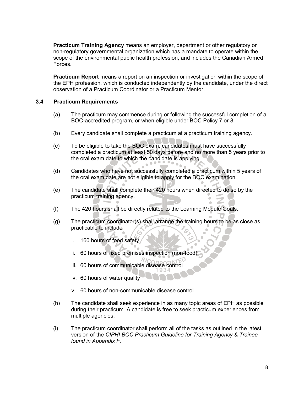**Practicum Training Agency** means an employer, department or other regulatory or non-regulatory governmental organization which has a mandate to operate within the scope of the environmental public health profession, and includes the Canadian Armed Forces.

**Practicum Report** means a report on an inspection or investigation within the scope of the EPH profession, which is conducted independently by the candidate, under the direct observation of a Practicum Coordinator or a Practicum Mentor.

## **3.4 Practicum Requirements**

- (a) The practicum may commence during or following the successful completion of a BOC-accredited program, or when eligible under BOC Policy 7 or 8.
- (b) Every candidate shall complete a practicum at a practicum training agency.
- (c) To be eligible to take the BOC exam, candidates must have successfully completed a practicum at least 50 days before and no more than 5 years prior to the oral exam date to which the candidate is applying.
- (d) Candidates who have not successfully completed a practicum within 5 years of the oral exam date are not eligible to apply for the BOC examination.
- (e) The candidate shall complete their 420 hours when directed to do so by the practicum training agency.
- (f) The 420 hours shall be directly related to the Learning Module Goals.
- (g) The practicum coordinator(s) shall arrange the training hours to be as close as practicable to include Ö,
	- i. 160 hours of food safety
	- ii. 60 hours of fixed premises inspection (non-food)
	- iii. 60 hours of communicable disease control
	- iv. 60 hours of water quality
	- v. 60 hours of non-communicable disease control
- (h) The candidate shall seek experience in as many topic areas of EPH as possible during their practicum. A candidate is free to seek practicum experiences from multiple agencies.
- (i) The practicum coordinator shall perform all of the tasks as outlined in the latest version of the *CIPHI BOC Practicum Guideline for Training Agency & Trainee found in Appendix F.*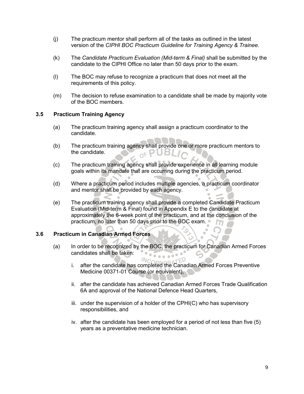- (j) The practicum mentor shall perform all of the tasks as outlined in the latest version of the *CIPHI BOC Practicum Guideline for Training Agency & Trainee.*
- (k) The *Candidate Practicum Evaluation (Mid-term & Final)* shall be submitted by the candidate to the CIPHI Office no later than 50 days prior to the exam.
- (l) The BOC may refuse to recognize a practicum that does not meet all the requirements of this policy.
- (m) The decision to refuse examination to a candidate shall be made by majority vote of the BOC members.

## **3.5 Practicum Training Agency**

- (a) The practicum training agency shall assign a practicum coordinator to the candidate.
- (b) The practicum training agency shall provide one or more practicum mentors to the candidate. the candidate.
- (c) The practicum training agency shall provide experience in all learning module goals within its mandate that are occurring during the practicum period.
- (d) Where a practicum period includes multiple agencies, a practicum coordinator and mentor shall be provided by each agency.
- (e) The practicum training agency shall provide a completed Candidate Practicum Evaluation (Mid-term & Final) found in Appendix E to the candidate at approximately the 6-week point of the practicum, and at the conclusion of the practicum, no later than 50 days prior to the BOC exam.

## **3.6 Practicum in Canadian Armed Forces**

(a) In order to be recognized by the BOC, the practicum for Canadian Armed Forces candidates shall be taken: 

 $N_{\mathcal{C}}$ 

- i. after the candidate has completed the Canadian Armed Forces Preventive Medicine 00371-01 Course (or equivalent),
- ii. after the candidate has achieved Canadian Armed Forces Trade Qualification 6A and approval of the National Defence Head Quarters,
- iii. under the supervision of a holder of the CPHI(C) who has supervisory responsibilities, and
- iv. after the candidate has been employed for a period of not less than five (5) years as a preventative medicine technician.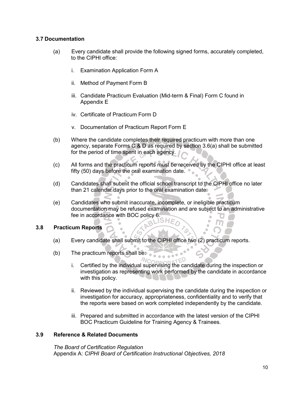## **3.7 Documentation**

- (a) Every candidate shall provide the following signed forms, accurately completed, to the CIPHI office:
	- i. Examination Application Form A
	- ii. Method of Payment Form B
	- iii. Candidate Practicum Evaluation (Mid-term & Final) Form C found in Appendix E
	- iv. Certificate of Practicum Form D
	- v. Documentation of Practicum Report Form E
- (b) Where the candidate completes their required practicum with more than one agency, separate Forms C & D as required by section 3.6(a) shall be submitted for the period of time spent in each agency.
- (c) All forms and the practicum reports must be received by the CIPHI office at least fifty (50) days before the oral examination date.
- (d) Candidates shall submit the official school transcript to the CIPHI office no later than 21 calendar days prior to the oral examination date.
- (e) Candidates who submit inaccurate, incomplete, or ineligible practicum documentation may be refused examination and are subject to an administrative fee in accordance with BOC policy 6.

## **3.8 Practicum Reports**

(a) Every candidate shall submit to the CIPHI office two (2) practicum reports.

a

- (b) The practicum reports shall be:
	- i. Certified by the individual supervising the candidate during the inspection or investigation as representing work performed by the candidate in accordance with this policy.

ED

- ii. Reviewed by the individual supervising the candidate during the inspection or investigation for accuracy, appropriateness, confidentiality and to verify that the reports were based on work completed independently by the candidate.
- iii. Prepared and submitted in accordance with the latest version of the CIPHI BOC Practicum Guideline for Training Agency & Trainees.

## **3.9 Reference & Related Documents**

*The Board of Certification Regulation* Appendix A: *CIPHI Board of Certification Instructional Objectives, 2018*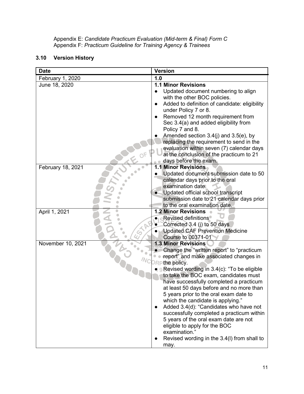Appendix E: *Candidate Practicum Evaluation (Mid-term & Final) Form C* Appendix F: *Practicum Guideline for Training Agency & Trainees*

## **3.10 Version History**

| <b>Date</b>       | <b>Version</b>                                                                                                                                                                                                                                                                                                                                                                                                                                                                                                                                                                                                                                                             |
|-------------------|----------------------------------------------------------------------------------------------------------------------------------------------------------------------------------------------------------------------------------------------------------------------------------------------------------------------------------------------------------------------------------------------------------------------------------------------------------------------------------------------------------------------------------------------------------------------------------------------------------------------------------------------------------------------------|
| February 1, 2020  | 1.0                                                                                                                                                                                                                                                                                                                                                                                                                                                                                                                                                                                                                                                                        |
| June 18, 2020     | <b>1.1 Minor Revisions</b><br>Updated document numbering to align<br>with the other BOC policies.<br>Added to definition of candidate: eligibility<br>$\bullet$<br>under Policy 7 or 8.<br>Removed 12 month requirement from<br>Sec 3.4(a) and added eligibility from<br>Policy 7 and 8.<br>Amended section $3.4(i)$ and $3.5(e)$ , by<br>replacing the requirement to send in the<br>evaluation within seven (7) calendar days<br>at the conclusion of the practicum to 21<br>days before the exam.                                                                                                                                                                       |
| February 18, 2021 | <b>1.1 Minor Revisions</b><br>Updated document submission date to 50<br>calendar days prior to the oral<br>examination date.<br>Updated official school transcript<br>submission date to 21 calendar days prior<br>to the oral examination date.                                                                                                                                                                                                                                                                                                                                                                                                                           |
| April 1, 2021     | <b>1.2 Minor Revisions</b><br><b>Revised definitions</b><br>Corrected 3.4 (j) to 50 days<br><b>Updated CAF Prevention Medicine</b><br><b>Course to 00371-01</b>                                                                                                                                                                                                                                                                                                                                                                                                                                                                                                            |
| November 10, 2021 | <b>1.3 Minor Revisions</b><br>Change the "written report" to "practicum<br>report" and make associated changes in<br><b>Pre the policy.</b><br>$\bullet$ 9 Revised wording in 3.4(c): "To be eligible<br>to take the BOC exam, candidates must<br>have successfully completed a practicum<br>at least 50 days before and no more than<br>5 years prior to the oral exam date to<br>which the candidate is applying."<br>Added 3.4(d): "Candidates who have not<br>$\bullet$<br>successfully completed a practicum within<br>5 years of the oral exam date are not<br>eligible to apply for the BOC<br>examination."<br>Revised wording in the 3.4(I) from shall to<br>may. |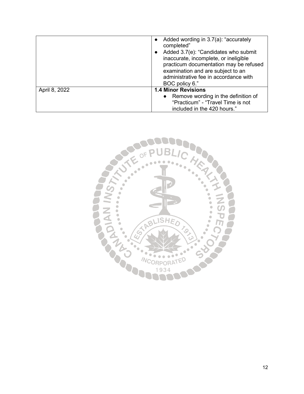|               | Added wording in 3.7(a): "accurately<br>completed"<br>Added 3.7(e): "Candidates who submit<br>inaccurate, incomplete, or ineligible<br>practicum documentation may be refused<br>examination and are subject to an<br>administrative fee in accordance with<br>BOC policy 6." |
|---------------|-------------------------------------------------------------------------------------------------------------------------------------------------------------------------------------------------------------------------------------------------------------------------------|
| April 8, 2022 | <b>1.4 Minor Revisions</b>                                                                                                                                                                                                                                                    |
|               | • Remove wording in the definition of                                                                                                                                                                                                                                         |
|               | "Practicum" - "Travel Time is not                                                                                                                                                                                                                                             |
|               | included in the 420 hours."                                                                                                                                                                                                                                                   |

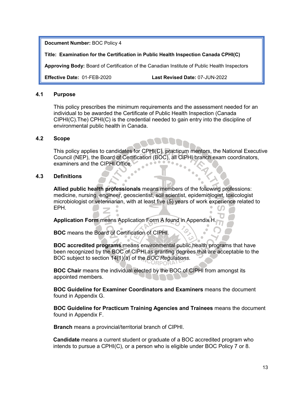**Title: Examination for the Certification in Public Health Inspection Canada CPHI(C)** 

**Approving Body:** Board of Certification of the Canadian Institute of Public Health Inspectors

**Effective Date:** 01-FEB-2020 **Last Revised Date:** 07-JUN-2022

## **4.1 Purpose**

This policy prescribes the minimum requirements and the assessment needed for an individual to be awarded the Certificate of Public Health Inspection (Canada CIPHI(C).The) CPHI(C) is the credential needed to gain entry into the discipline of environmental public health in Canada.

## **4.2 Scope**

This policy applies to candidates for CPHI(C), practicum mentors, the National Executive Council (NEP), the Board of Certification (BOC), all CIPHI branch exam coordinators, examiners and the CIPHI Office.

## **4.3 Definitions**

**Allied public health professionals** means members of the following professions: medicine, nursing, engineer, geoscientist, soil scientist, epidemiologist, toxicologist microbiologist or veterinarian, with at least five (5) years of work experience related to EPH.

**Application Form** means Application Form A found in Appendix I

**BOC** means the Board of Certification of CIPHI.

**BOC accredited programs** means environmental public health programs that have been recognized by the BOC of CIPHI as granting degrees that are acceptable to the BOC subject to section 14(1)(a) of the *BOC Regulations.*

**BOC Chair** means the individual elected by the BOC of CIPHI from amongst its appointed members.

**BOC Guideline for Examiner Coordinators and Examiners** means the document found in Appendix G.

**BOC Guideline for Practicum Training Agencies and Trainees** means the document found in Appendix F.

**Branch** means a provincial/territorial branch of CIPHI.

**Candidate** means a current student or graduate of a BOC accredited program who intends to pursue a CPHI(C), or a person who is eligible under BOC Policy 7 or 8.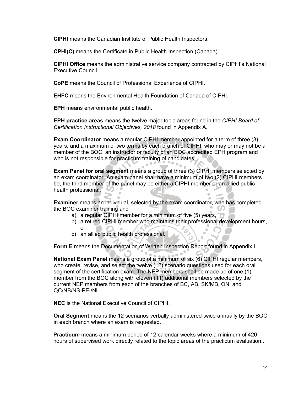**CIPHI** means the Canadian Institute of Public Health Inspectors.

**CPHI(C)** means the Certificate in Public Health Inspection (Canada).

**CIPHI Office** means the administrative service company contracted by CIPHI's National Executive Council.

**CoPE** means the Council of Professional Experience of CIPHI.

**EHFC** means the Environmental Health Foundation of Canada of CIPHI.

**EPH** means environmental public health.

**EPH practice areas** means the twelve major topic areas found in the *CIPHI Board of Certification Instructional Objectives, 2018* found in Appendix A.

**Exam Coordinator** means a regular CIPHI member appointed for a term of three (3) years, and a maximum of two terms by each branch of CIPHI, who may or may not be a member of the BOC, an instructor or faculty of an BOC accredited EPH program and who is not responsible for practicum training of candidates.

**Exam Panel for oral segment** means a group of three (3) CIPHI members selected by an exam coordinator. An exam panel shall have a minimum of two (2) CIPHI members be, the third member of the panel may be either a CIPHI member or an allied public health professional.

**Examiner** means an individual, selected by the exam coordinator, who has completed the BOC examiner training and

- a) a regular CIPHI member for a minimum of five (5) years,
- b) a retired CIPHI member who maintains their professional development hours, or  $\bullet$
- c) an allied public health professional.

**Form E** means the Documentation of Written Inspection Report found in Appendix I.

 $\bullet$ 

**National Exam Panel** means a group of a minimum of six (6) CIPHI regular members, who create, revise, and select the twelve (12) scenario questions used for each oral segment of the certification exam. The NEP members shall be made up of one (1) member from the BOC along with eleven (11) additional members selected by the current NEP members from each of the branches of BC, AB, SK/MB, ON, and QC/NB/NS-PEI/NL.

**NEC** is the National Executive Council of CIPHI.

**Oral Segment** means the 12 scenarios verbally administered twice annually by the BOC in each branch where an exam is requested.

**Practicum** means a minimum period of 12 calendar weeks where a minimum of 420 hours of supervised work directly related to the topic areas of the practicum evaluation..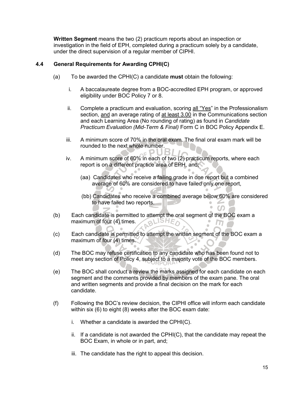**Written Segment** means the two (2) practicum reports about an inspection or investigation in the field of EPH, completed during a practicum solely by a candidate, under the direct supervision of a regular member of CIPHI.

## **4.4 General Requirements for Awarding CPHI(C)**

(a) To be awarded the CPHI(C) a candidate **must** obtain the following:

 $\bullet$ 

- i. A baccalaureate degree from a BOC-accredited EPH program, or approved eligibility under BOC Policy 7 or 8.
- ii. Complete a practicum and evaluation, scoring  $all "Yes"$  in the Professionalism section, and an average rating of at least 3.00 in the Communications section and each Learning Area (No rounding of rating) as found in *Candidate Practicum Evaluation (Mid-Term & Final)* Form C in BOC Policy Appendix E.
- iii. A minimum score of 70% in the oral exam. The final oral exam mark will be rounded to the next whole number.
- iv. A minimum score of 60% in each of two (2) practicum reports, where each report is on a different practice area of EPH, and;
	- (aa) Candidates who receive a failing grade in one report but a combined average of 60% are considered to have failed only one report,
	- (bb) Candidates who receive a combined average below 60% are considered to have failed two reports.
- (b) Each candidate is permitted to attempt the oral segment of the BOC exam a maximum of four (4) times. maximum of four (4) times.  $\blacksquare$ m
- (c) Each candidate is permitted to attempt the written segment of the BOC exam a maximum of four (4) times.
- (d) The BOC may refuse certification to any candidate who has been found not to meet any section of Policy 4, subject to a majority vote of the BOC members.
- (e) The BOC shall conduct a review the marks assigned for each candidate on each segment and the comments provided by members of the exam pane. The oral and written segments and provide a final decision on the mark for each candidate.
- (f) Following the BOC's review decision, the CIPHI office will inform each candidate within six (6) to eight (8) weeks after the BOC exam date:
	- i. Whether a candidate is awarded the CPHI(C).
	- ii. If a candidate is not awarded the CPHI $(C)$ , that the candidate may repeat the BOC Exam, in whole or in part, and;
	- iii. The candidate has the right to appeal this decision.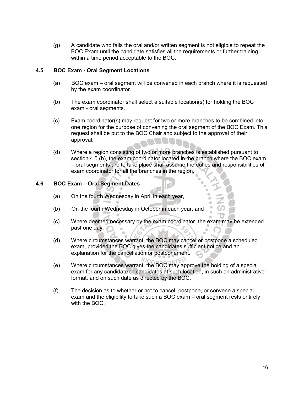(g) A candidate who fails the oral and/or written segment is not eligible to repeat the BOC Exam until the candidate satisfies all the requirements or further training within a time period acceptable to the BOC.

## **4.5 BOC Exam - Oral Segment Locations**

- (a) BOC exam oral segment will be convened in each branch where it is requested by the exam coordinator.
- (b) The exam coordinator shall select a suitable location(s) for holding the BOC exam - oral segments.
- (c) Exam coordinator(s) may request for two or more branches to be combined into one region for the purpose of convening the oral segment of the BOC Exam. This request shall be put to the BOC Chair and subject to the approval of their approval.
- (d) Where a region consisting of two or more branches is established pursuant to section 4.5 (b), the exam coordinator located in the branch where the BOC exam – oral segments are to take place shall assume the duties and responsibilities of exam coordinator for all the branches in the region.

## **4.6 BOC Exam – Oral Segment Dates**

- (a) On the fourth Wednesday in April in each year,
- (b) On the fourth Wednesday in October in each year, and
- (c) Where deemed necessary by the exam coordinator, the exam may be extended past one day.  $\bullet$ Ō,
- (d) Where circumstances warrant, the BOC may cancel or postpone a scheduled exam, provided the BOC gives the candidates sufficient notice and an explanation for the cancellation or postponement.
- (e) Where circumstances warrant, the BOC may approve the holding of a special exam for any candidate or candidates at such location, in such an administrative format, and on such date as directed by the BOC.
- (f) The decision as to whether or not to cancel, postpone, or convene a special exam and the eligibility to take such a BOC exam – oral segment rests entirely with the BOC.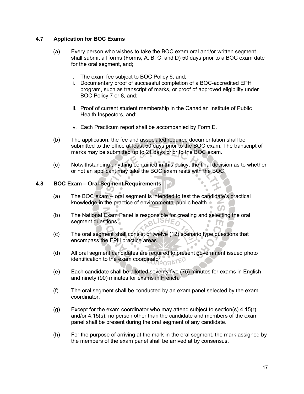## **4.7 Application for BOC Exams**

- (a) Every person who wishes to take the BOC exam oral and/or written segment shall submit all forms (Forms, A, B, C, and D) 50 days prior to a BOC exam date for the oral segment, and;
	- i. The exam fee subject to BOC Policy 6, and;
	- ii. Documentary proof of successful completion of a BOC-accredited EPH program, such as transcript of marks, or proof of approved eligibility under BOC Policy 7 or 8, and;
	- iii. Proof of current student membership in the Canadian Institute of Public Health Inspectors, and;
	- iv. Each Practicum report shall be accompanied by Form E.
- (b) The application, the fee and associated required documentation shall be submitted to the office at least 50 days prior to the BOC exam. The transcript of marks may be submitted up to 21 days prior to the BOC exam.
- (c) Notwithstanding anything contained in this policy, the final decision as to whether or not an applicant may take the BOC exam rests with the BOC.

## **4.8 BOC Exam – Oral Segment Requirements**

- (a) The BOC exam oral segment is intended to test the candidate's practical knowledge in the practice of environmental public health.
- (b) The National Exam Panel is responsible for creating and selecting the oral segment questions. segment questions.  $\blacksquare$
- (c) The oral segment shall consist of twelve (12) scenario type questions that encompass the EPH practice areas.
- (d) All oral segment candidates are required to present government issued photo identification to the exam coordinator.
- (e) Each candidate shall be allotted seventy five (75) minutes for exams in English and ninety (90) minutes for exams in French.
- (f) The oral segment shall be conducted by an exam panel selected by the exam coordinator.
- (g) Except for the exam coordinator who may attend subject to section(s)  $4.15(r)$ and/or 4.15(s), no person other than the candidate and members of the exam panel shall be present during the oral segment of any candidate.
- (h) For the purpose of arriving at the mark in the oral segment, the mark assigned by the members of the exam panel shall be arrived at by consensus.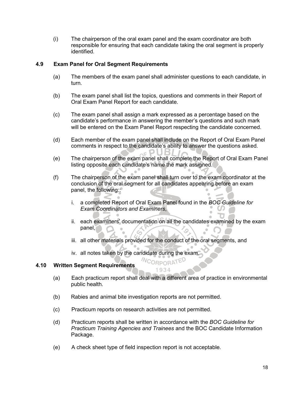(i) The chairperson of the oral exam panel and the exam coordinator are both responsible for ensuring that each candidate taking the oral segment is properly identified.

## **4.9 Exam Panel for Oral Segment Requirements**

- (a) The members of the exam panel shall administer questions to each candidate, in turn.
- (b) The exam panel shall list the topics, questions and comments in their Report of Oral Exam Panel Report for each candidate.
- (c) The exam panel shall assign a mark expressed as a percentage based on the candidate's performance in answering the member's questions and such mark will be entered on the Exam Panel Report respecting the candidate concerned.
- (d) Each member of the exam panel shall include on the Report of Oral Exam Panel comments in respect to the candidate's ability to answer the questions asked.
- (e) The chairperson of the exam panel shall complete the Report of Oral Exam Panel listing opposite each candidate's name the mark assigned.
- (f) The chairperson of the exam panel shall turn over to the exam coordinator at the conclusion of the oral segment for all candidates appearing before an exam panel, the following::
	- i. a completed Report of Oral Exam Panel found in the *BOC Guideline for Exam Coordinators and Examiners*,
	- ii. each examiners' documentation on all the candidates examined by the exam panel,  $\blacksquare$

 $\blacksquare$ 

- iii. all other materials provided for the conduct of the oral segments, and
- iv. all notes taken by the candidate during the exam.

 $\alpha$ 

## **4.10 Written Segment Requirements**

(a) Each practicum report shall deal with a different area of practice in environmental public health.

**NCORPORATED** 1934

- (b) Rabies and animal bite investigation reports are not permitted.
- (c) Practicum reports on research activities are not permitted.
- (d) Practicum reports shall be written in accordance with the *BOC Guideline for Practicum Training Agencies and Trainees* and the BOC Candidate Information Package.
- (e) A check sheet type of field inspection report is not acceptable.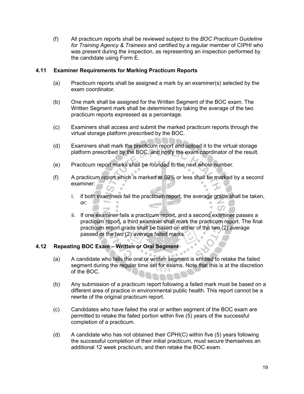(f) All practicum reports shall be reviewed subject to the *BOC Practicum Guideline for Training Agency & Trainees* and certified by a regular member of CIPHI who was present during the inspection, as representing an inspection performed by the candidate using Form E.

## **4.11 Examiner Requirements for Marking Practicum Reports**

- (a) Practicum reports shall be assigned a mark by an examiner(s) selected by the exam coordinator.
- (b) One mark shall be assigned for the Written Segment of the BOC exam. The Written Segment mark shall be determined by taking the average of the two practicum reports expressed as a percentage.
- (c) Examiners shall access and submit the marked practicum reports through the virtual storage platform prescribed by the BOC.
- (d) Examiners shall mark the practicum report and upload it to the virtual storage platform prescribed by the BOC, and notify the exam coordinator of the result.
- (e) Practicum report marks shall be rounded to the next whole number.
- (f) A practicum report which is marked at 59% or less shall be marked by a second examiner:
	- i. if both examiners fail the practicum report, the average grade shall be taken, or;
	- ii. If one examiner fails a practicum report, and a second examiner passes a practicum report, a third examiner shall mark the practicum report. The final practicum report grade shall be based on either of the two (2) average passed or the two (2) average failed marks.

## **4.12 Repeating BOC Exam – Written or Oral Segment**

- (a) A candidate who fails the oral or written segment is entitled to retake the failed segment during the regular time set for exams. Note that this is at the discretion of the BOC.
- (b) Any submission of a practicum report following a failed mark must be based on a different area of practice in environmental public health. This report cannot be a rewrite of the original practicum report.
- (c) Candidates who have failed the oral or written segment of the BOC exam are permitted to retake the failed portion within five (5) years of the successful completion of a practicum.
- (d) A candidate who has not obtained their CPHI(C) within five (5) years following the successful completion of their initial practicum, must secure themselves an additional 12 week practicum, and then retake the BOC exam.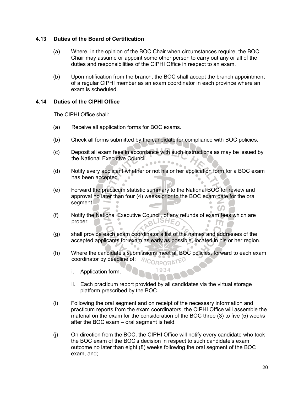## **4.13 Duties of the Board of Certification**

- (a) Where, in the opinion of the BOC Chair when circumstances require, the BOC Chair may assume or appoint some other person to carry out any or all of the duties and responsibilities of the CIPHI Office in respect to an exam.
- (b) Upon notification from the branch, the BOC shall accept the branch appointment of a regular CIPHI member as an exam coordinator in each province where an exam is scheduled.

## **4.14 Duties of the CIPHI Office**

The CIPHI Office shall:

- (a) Receive all application forms for BOC exams.
- (b) Check all forms submitted by the candidate for compliance with BOC policies.
- (c) Deposit all exam fees in accordance with such instructions as may be issued by the National Executive Council.
- (d) Notify every applicant whether or not his or her application form for a BOC exam has been accepted.  $\sim$
- (e) Forward the practicum statistic summary to the National BOC for review and approval no later than four (4) weeks prior to the BOC exam date for the oral segment.
- (f) Notify the National Executive Council, of any refunds of exam fees which are noner proper.
- (g) shall provide each exam coordinator a list of the names and addresses of the accepted applicants for exam as early as possible, located in his or her region.
- (h) Where the candidate's submissions meet all BOC policies, forward to each exam coordinator by deadline of: **MCORPORATED** 
	- i. Application form.
	- ii. Each practicum report provided by all candidates via the virtual storage platform prescribed by the BOC.
- (i) Following the oral segment and on receipt of the necessary information and practicum reports from the exam coordinators, the CIPHI Office will assemble the material on the exam for the consideration of the BOC three (3) to five (5) weeks after the BOC exam – oral segment is held.
- (j) On direction from the BOC, the CIPHI Office will notify every candidate who took the BOC exam of the BOC's decision in respect to such candidate's exam outcome no later than eight (8) weeks following the oral segment of the BOC exam, and;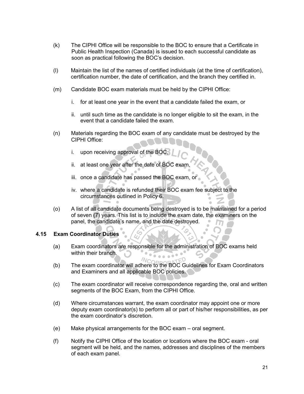- (k) The CIPHI Office will be responsible to the BOC to ensure that a Certificate in Public Health Inspection (Canada) is issued to each successful candidate as soon as practical following the BOC's decision.
- (l) Maintain the list of the names of certified individuals (at the time of certification), certification number, the date of certification, and the branch they certified in.
- (m) Candidate BOC exam materials must be held by the CIPHI Office:
	- i. for at least one year in the event that a candidate failed the exam, or
	- ii. until such time as the candidate is no longer eligible to sit the exam, in the event that a candidate failed the exam.
- (n) Materials regarding the BOC exam of any candidate must be destroyed by the CIPHI Office:
	- i. upon receiving approval of the BOC,
	- ii. at least one year after the date of BOC exam,
	- iii. once a candidate has passed the BOC exam, or
	- iv. where a candidate is refunded their BOC exam fee subject to the circumstances outlined in Policy 6.
- (o) A list of all candidate documents being destroyed is to be maintained for a period of seven (7) years. This list is to include the exam date, the examiners on the panel, the candidate's name, and the date destroyed.

## **4.15 Exam Coordinator Duties**

- (a) Exam coordinators are responsible for the administration of BOC exams held within their branch.  $\sim$  0
- (b) The exam coordinator will adhere to the BOC Guidelines for Exam Coordinators and Examiners and all applicable BOC policies.
- (c) The exam coordinator will receive correspondence regarding the, oral and written segments of the BOC Exam, from the CIPHI Office.
- (d) Where circumstances warrant, the exam coordinator may appoint one or more deputy exam coordinator(s) to perform all or part of his/her responsibilities, as per the exam coordinator's discretion.
- (e) Make physical arrangements for the BOC exam oral segment.
- (f) Notify the CIPHI Office of the location or locations where the BOC exam oral segment will be held, and the names, addresses and disciplines of the members of each exam panel.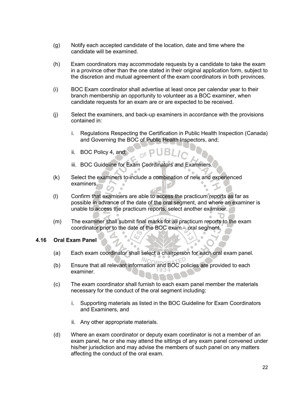- (g) Notify each accepted candidate of the location, date and time where the candidate will be examined.
- (h) Exam coordinators may accommodate requests by a candidate to take the exam in a province other than the one stated in their original application form, subject to the discretion and mutual agreement of the exam coordinators in both provinces.
- (i) BOC Exam coordinator shall advertise at least once per calendar year to their branch membership an opportunity to volunteer as a BOC examiner, when candidate requests for an exam are or are expected to be received.
- (j) Select the examiners, and back-up examiners in accordance with the provisions contained in:
	- i. Regulations Respecting the Certification in Public Health Inspection (Canada) and Governing the BOC of Public Health Inspectors, and;
	- ii. BOC Policy 4, and;
	- iii. BOC Guideline for Exam Coordinators and Examiners.
- (k) Select the examiners to include a combination of new and experienced examiners.

 $OFP$ 

- (l) Confirm that examiners are able to access the practicum reports as far as possible in advance of the date of the oral segment, and where an examiner is unable to access the practicum reports, select another examiner.
- (m) The examiner shall submit final marks for all practicum reports to the exam coordinator prior to the date of the BOC exam – oral segment.

#### **4.16 Oral Exam Panel**

- (a) Each exam coordinator shall select a chairperson for each oral exam panel.
- (b) Ensure that all relevant information and BOC policies are provided to each examiner.
- (c) The exam coordinator shall furnish to each exam panel member the materials necessary for the conduct of the oral segment including:
	- i. Supporting materials as listed in the BOC Guideline for Exam Coordinators and Examiners, and
	- ii. Any other appropriate materials.
- (d) Where an exam coordinator or deputy exam coordinator is not a member of an exam panel, he or she may attend the sittings of any exam panel convened under his/her jurisdiction and may advise the members of such panel on any matters affecting the conduct of the oral exam.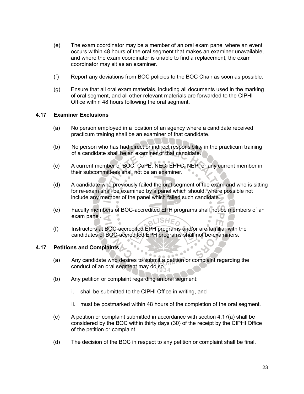- (e) The exam coordinator may be a member of an oral exam panel where an event occurs within 48 hours of the oral segment that makes an examiner unavailable, and where the exam coordinator is unable to find a replacement, the exam coordinator may sit as an examiner.
- (f) Report any deviations from BOC policies to the BOC Chair as soon as possible.
- (g) Ensure that all oral exam materials, including all documents used in the marking of oral segment, and all other relevant materials are forwarded to the CIPHI Office within 48 hours following the oral segment.

## **4.17 Examiner Exclusions**

- (a) No person employed in a location of an agency where a candidate received practicum training shall be an examiner of that candidate.
- (b) No person who has had direct or indirect responsibility in the practicum training of a candidate shall be an examiner of that candidate.
- (c) A current member of BOC, CoPE, NEC, EHFC, NEP, or any current member in their subcommittees shall not be an examiner.
- (d) A candidate who previously failed the oral segment of the exam and who is sitting for re-exam shall be examined by a panel which should, where possible not include any member of the panel which failed such candidate.
- (e) Faculty members of BOC-accredited EPH programs shall not be members of an exam panel. BLISHES
- (f) Instructors at BOC-accredited EPH programs and/or are familiar with the candidates of BOC-accredited EPH programs shall not be examiners.

## **4.17 Petitions and Complaints**

(a) Any candidate who desires to submit a petition or complaint regarding the conduct of an oral segment may do so.

 $\sim$ 

- (b) Any petition or complaint regarding an oral segment:
	- i. shall be submitted to the CIPHI Office in writing, and
	- ii. must be postmarked within 48 hours of the completion of the oral segment.
- (c) A petition or complaint submitted in accordance with section 4.17(a) shall be considered by the BOC within thirty days (30) of the receipt by the CIPHI Office of the petition or complaint.
- (d) The decision of the BOC in respect to any petition or complaint shall be final.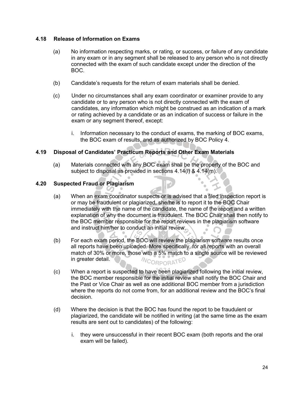## **4.18 Release of Information on Exams**

- (a) No information respecting marks, or rating, or success, or failure of any candidate in any exam or in any segment shall be released to any person who is not directly connected with the exam of such candidate except under the direction of the BOC.
- (b) Candidate's requests for the return of exam materials shall be denied.
- (c) Under no circumstances shall any exam coordinator or examiner provide to any candidate or to any person who is not directly connected with the exam of candidates, any information which might be construed as an indication of a mark or rating achieved by a candidate or as an indication of success or failure in the exam or any segment thereof, except:
	- i. Information necessary to the conduct of exams, the marking of BOC exams, the BOC exam of results, and as authorized by BOC Policy 4.

## **4.19 Disposal of Candidates' Practicum Reports and Other Exam Materials**

(a) Materials connected with any BOC exam shall be the property of the BOC and subject to disposal as provided in sections 4.14(l) & 4.14(m).

## **4.20 Suspected Fraud or Plagiarism**

- (a) When an exam coordinator suspects or is advised that a filed inspection report is or may be fraudulent or plagiarized, she/he is to report it to the BOC Chair immediately with the name of the candidate, the name of the report and a written explanation of why the document is fraudulent. The BOC Chair shall then notify to the BOC member responsible for the report reviews in the plagiarism software and instruct him/her to conduct an initial review.
- (b) For each exam period, the BOC will review the plagiarism software results once all reports have been uploaded. More specifically, for all reports with an overall match of 30% or more, those with a 5% match to a single source will be reviewed *NCORPORATED* in greater detail.
- (c) When a report is suspected to have been plagiarized following the initial review, the BOC member responsible for the initial review shall notify the BOC Chair and the Past or Vice Chair as well as one additional BOC member from a jurisdiction where the reports do not come from, for an additional review and the BOC's final decision.
- (d) Where the decision is that the BOC has found the report to be fraudulent or plagiarized, the candidate will be notified in writing (at the same time as the exam results are sent out to candidates) of the following:
	- i. they were unsuccessful in their recent BOC exam (both reports and the oral exam will be failed).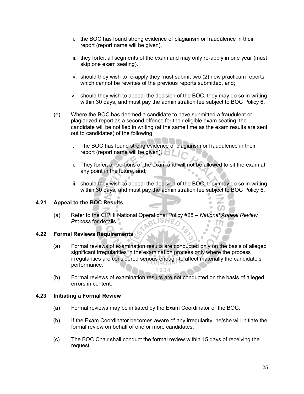- ii. the BOC has found strong evidence of plagiarism or fraudulence in their report (report name will be given).
- iii. they forfeit all segments of the exam and may only re-apply in one year (must skip one exam seating).
- iv. should they wish to re-apply they must submit two (2) new practicum reports which cannot be rewrites of the previous reports submitted, and;
- v. should they wish to appeal the decision of the BOC, they may do so in writing within 30 days, and must pay the administration fee subject to BOC Policy 6.
- (e) Where the BOC has deemed a candidate to have submitted a fraudulent or plagiarized report as a second offence for their eligible exam seating, the candidate will be notified in writing (at the same time as the exam results are sent out to candidates) of the following:
	- i. The BOC has found strong evidence of plagiarism or fraudulence in their report (report name will be given).  $\mathbb{E}_{\mathbb{I}}$
	- ii. They forfeit all portions of the exam and will not be allowed to sit the exam at any point in the future, and;
	- iii. should they wish to appeal the decision of the BOC, they may do so in writing within 30 days, and must pay the administration fee subject to BOC Policy 6.

## **4.21 Appeal to the BOC Results**

(a) Refer to the CIPHI National Operational Policy #28 – *National Appeal Review Process* for details.

# **4.22 Formal Reviews Requirements**

- (a) Formal reviews of examination results are conducted only on the basis of alleged significant irregularities in the examination process only where the process irregularities are considered serious enough to affect materially the candidate's performance. 1934
- (b) Formal reviews of examination results are not conducted on the basis of alleged errors in content.

## **4.23 Initiating a Formal Review**

- (a) Formal reviews may be initiated by the Exam Coordinator or the BOC.
- (b) If the Exam Coordinator becomes aware of any irregularity, he/she will initiate the formal review on behalf of one or more candidates.
- (c) The BOC Chair shall conduct the formal review within 15 days of receiving the request.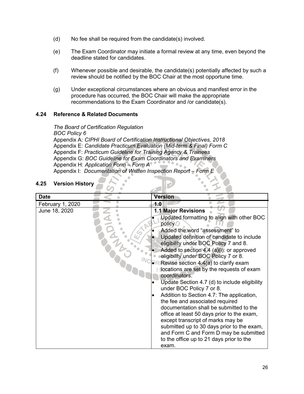- (d) No fee shall be required from the candidate(s) involved.
- (e) The Exam Coordinator may initiate a formal review at any time, even beyond the deadline stated for candidates.
- (f) Whenever possible and desirable, the candidate(s) potentially affected by such a review should be notified by the BOC Chair at the most opportune time.
- (g) Under exceptional circumstances where an obvious and manifest error in the procedure has occurred, the BOC Chair will make the appropriate recommendations to the Exam Coordinator and /or candidate(s).

## **4.24 Reference & Related Documents**

*The Board of Certification Regulation BOC Policy 6* Appendix A: *CIPHI Board of Certification Instructional Objectives, 2018* Appendix E: *Candidate Practicum Evaluation (Mid-term & Final) Form C* Appendix F: *Practicum Guideline for Training Agency & Trainees* Appendix G: *BOC Guideline for Exam Coordinators and Examiners* Appendix H: *Application Form – Form A* Appendix I: *Documentation of Written Inspection Report – Form E*

# **4.25 Version History**

| <b>Date</b>      | <b>Version</b>                                                                      |
|------------------|-------------------------------------------------------------------------------------|
| February 1, 2020 | 1.0                                                                                 |
| June 18, 2020    | <b>1.1 Major Revisions</b>                                                          |
|                  | Updated formatting to align with other BOC<br>policy                                |
|                  | Added the word "assessment" to                                                      |
|                  | Updated definition of candidate to include<br>eligibility under BOC Policy 7 and 8. |
|                  | Added to section $4.4$ (a)(i): or approved                                          |
|                  | eligibility under BOC Policy 7 or 8.                                                |
|                  | • Revise section 4.4(a) to clarify exam                                             |
|                  | docations are set by the requests of exam<br>coordinators.                          |
|                  | Update Section 4.7 (d) to include eligibility<br>under BOC Policy 7 or 8.           |
|                  | Addition to Section 4.7: The application,                                           |
|                  | the fee and associated required                                                     |
|                  | documentation shall be submitted to the                                             |
|                  | office at least 50 days prior to the exam,                                          |
|                  | except transcript of marks may be                                                   |
|                  | submitted up to 30 days prior to the exam,                                          |
|                  | and Form C and Form D may be submitted                                              |
|                  | to the office up to 21 days prior to the                                            |
|                  | exam.                                                                               |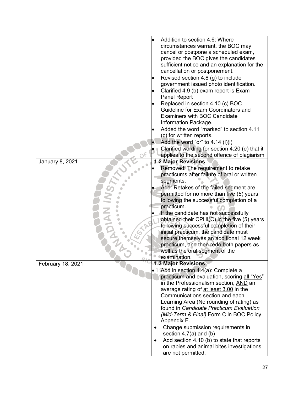|                        | Addition to section 4.6: Where                  |
|------------------------|-------------------------------------------------|
|                        | circumstances warrant, the BOC may              |
|                        | cancel or postpone a scheduled exam,            |
|                        | provided the BOC gives the candidates           |
|                        | sufficient notice and an explanation for the    |
|                        | cancellation or postponement.                   |
|                        | Revised section 4.8 (g) to include              |
|                        | government issued photo identification.         |
|                        | Clarified 4.9 (b) exam report is Exam           |
|                        | Panel Report                                    |
|                        | Replaced in section 4.10 (c) BOC                |
|                        | Guideline for Exam Coordinators and             |
|                        | <b>Examiners with BOC Candidate</b>             |
|                        | Information Package.                            |
|                        | Added the word "marked" to section 4.11         |
|                        | (c) for written reports.                        |
|                        |                                                 |
|                        | Add the word "or" to $4.14$ (I)(i)              |
|                        | Clarified wording for section 4.20 (e) that it  |
|                        | applies to the second offence of plagiarism     |
| <b>January 8, 2021</b> | <b>1.2 Major Revisions</b>                      |
|                        | Removed: The requirement to retake              |
|                        | practicums after failure of oral or written     |
|                        | segments.                                       |
|                        | Add: Retakes of the failed segment are          |
|                        | permitted for no more than five (5) years       |
|                        | following the successful completion of a        |
|                        | practicum.                                      |
|                        | If the candidate has not successfully           |
|                        | obtained their CPHI(C) in the five (5) years    |
|                        | following successful completion of their        |
|                        | initial practicum, the candidate must           |
|                        | secure themselves an additional 12 week         |
|                        | practicum, and then redo both papers as         |
|                        | well as the oral segment of the                 |
|                        | examination.                                    |
| February 18, 2021      | <b>1.3 Major Revisions</b>                      |
|                        | 1 Add in section 4.4(a): Complete a             |
|                        | practicum and evaluation, scoring all "Yes"     |
|                        | in the Professionalism section, AND an          |
|                        | average rating of at least 3.00 in the          |
|                        | Communications section and each                 |
|                        | Learning Area (No rounding of rating) as        |
|                        | found in Candidate Practicum Evaluation         |
|                        | (Mid-Term & Final) Form C in BOC Policy         |
|                        | Appendix E.                                     |
|                        |                                                 |
|                        | Change submission requirements in               |
|                        | section $4.7(a)$ and (b)                        |
|                        | Add section 4.10 (b) to state that reports<br>٠ |
|                        | on rabies and animal bites investigations       |
|                        | are not permitted.                              |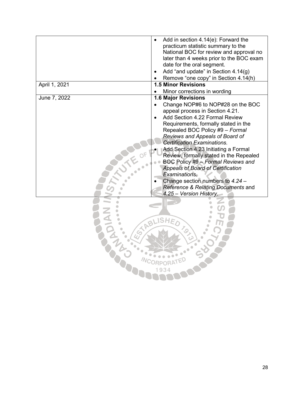|               | Add in section 4.14(e): Forward the<br>practicum statistic summary to the<br>National BOC for review and approval no<br>later than 4 weeks prior to the BOC exam<br>date for the oral segment.<br>Add "and update" in Section 4.14(g)<br>Remove "one copy" in Section 4.14(h)<br><b>1.5 Minor Revisions</b>                                                                                                                                                                                                                                           |
|---------------|-------------------------------------------------------------------------------------------------------------------------------------------------------------------------------------------------------------------------------------------------------------------------------------------------------------------------------------------------------------------------------------------------------------------------------------------------------------------------------------------------------------------------------------------------------|
| April 1, 2021 | Minor corrections in wording                                                                                                                                                                                                                                                                                                                                                                                                                                                                                                                          |
| June 7, 2022  | <b>1.6 Major Revisions</b>                                                                                                                                                                                                                                                                                                                                                                                                                                                                                                                            |
|               | Change NOP#6 to NOP#28 on the BOC<br>appeal process in Section 4.21.<br>Add Section 4.22 Formal Review<br>Requirements, formally stated in the<br>Repealed BOC Policy #9 - Formal<br>Reviews and Appeals of Board of<br><b>Certification Examinations.</b><br>Add Section 4.23 Initiating a Formal<br>Review, formally stated in the Repealed<br>BOC Policy #9 - Formal Reviews and<br><b>Appeals of Board of Certification</b><br>Examinations.<br>Change section numbers to 4.24 -<br>Reference & Relating Documents and<br>4.25 – Version History. |
| Ċ,            | FABLISHE<br>$\frac{2}{3}$                                                                                                                                                                                                                                                                                                                                                                                                                                                                                                                             |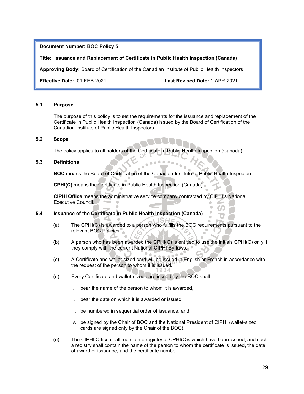#### **Title: Issuance and Replacement of Certificate in Public Health Inspection (Canada)**

**Approving Body:** Board of Certification of the Canadian Institute of Public Health Inspectors

**Effective Date:** 01-FEB-2021 **Last Revised Date:** 1-APR-2021

#### **5.1 Purpose**

The purpose of this policy is to set the requirements for the issuance and replacement of the Certificate in Public Health Inspection (Canada) issued by the Board of Certification of the Canadian Institute of Public Health Inspectors.

#### **5.2 Scope**

The policy applies to all holders of the Certificate in Public Health Inspection (Canada).

#### **5.3 Definitions**

**BOC** means the Board of Certification of the Canadian Institute of Public Health Inspectors.

**CPHI(C)** means the Certificate in Public Health Inspection (Canada).

**CIPHI Office** means the administrative service company contracted by CIPHI's National Executive Council.

## **5.4 Issuance of the Certificate in Public Health Inspection (Canada)**

- (a) The CPHI(C) is awarded to a person who fulfills the BOC requirements pursuant to the relevant BOC Policies.
- (b) A person who has been awarded the CPHI(C) is entitled to use the initials CPHI(C) only if they comply with the current National CIPHI By-laws.
- (c) A Certificate and wallet-sized card will be issued in English or French in accordance with the request of the person to whom it is issued.
- (d) Every Certificate and wallet-sized card issued by the BOC shall:
	- i. bear the name of the person to whom it is awarded,
	- ii. bear the date on which it is awarded or issued,
	- iii. be numbered in sequential order of issuance, and
	- iv. be signed by the Chair of BOC and the National President of CIPHI (wallet-sized cards are signed only by the Chair of the BOC).
- (e) The CIPHI Office shall maintain a registry of CPHI(C)s which have been issued, and such a registry shall contain the name of the person to whom the certificate is issued, the date of award or issuance, and the certificate number.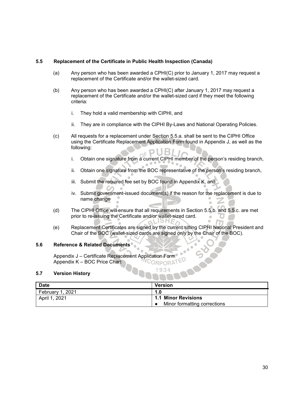#### **5.5 Replacement of the Certificate in Public Health Inspection (Canada)**

- (a) Any person who has been awarded a CPHI(C) prior to January 1, 2017 may request a replacement of the Certificate and/or the wallet-sized card.
- (b) Any person who has been awarded a CPHI(C) after January 1, 2017 may request a replacement of the Certificate and/or the wallet-sized card if they meet the following criteria:
	- i. They hold a valid membership with CIPHI, and
	- ii. They are in compliance with the CIPHI By-Laws and National Operating Policies.
- (c) All requests for a replacement under Section 5.5.a. shall be sent to the CIPHI Office using the Certificate Replacement Application Form found in Appendix J, as well as the following:
	- i. Obtain one signature from a current CIPHI member of the person's residing branch,
	- ii. Obtain one signature from the BOC representative of the person's residing branch,
	- iii. Submit the required fee set by BOC found in Appendix K, and
	- iv. Submit government-issued document(s) if the reason for the replacement is due to name change

 $\bullet$ 

- (d) The CIPHI Office will ensure that all requirements in Section 5.5.b. and 5.5.c. are met prior to re-issuing the Certificate and/or wallet-sized card.<br>
SHEA
- (e) Replacement Certificates are signed by the current sitting CIPHI National President and Chair of the BOC (wallet-sized cards are signed only by the Chair of the BOC).

1934

#### **5.6 Reference & Related Documents**

Appendix J – Certificate Replacement Application Form Appendix K – BOC Price Chart CORPORAT

#### **5.7 Version History**

| <b>Date</b>      | <b>Version</b>               |
|------------------|------------------------------|
| February 1, 2021 | 1.0                          |
| April 1, 2021    | <b>1.1 Minor Revisions</b>   |
|                  | Minor formatting corrections |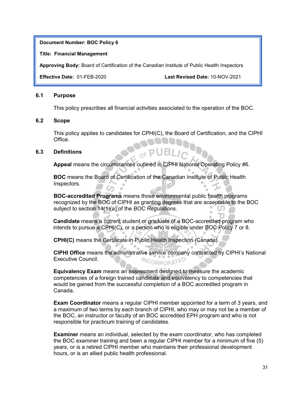**Title: Financial Management**

**Approving Body:** Board of Certification of the Canadian Institute of Public Health Inspectors

**Effective Date:** 01-FEB-2020 **Last Revised Date:** 10-NOV-2021

## **6.1 Purpose**

This policy prescribes all financial activities associated to the operation of the BOC.

## **6.2 Scope**

This policy applies to candidates for CPHI(C), the Board of Certification, and the CIPHI Office.

## **6.3 Definitions**

**Appeal** means the circumstances outlined in CIPHI National Operating Policy #6.

**BOC** means the Board of Certification of the Canadian Institute of Public Health Inspectors.

**BOC-accredited Programs** means those environmental public health programs recognized by the BOC of CIPHI as granting degrees that are acceptable to the BOC subject to section 14(1)(a) of the *BOC Regulations.*

**Candidate** means a current student or graduate of a BOC-accredited program who intends to pursue a CPHI(C), or a person who is eligible under BOC Policy 7 or 8.

**CPHI(C)** means the Certificate in Public Health Inspection (Canada).

**CIPHI Office** means the administrative service company contracted by CIPHI's National Executive Council. **NCORPORATED** 

**Equivalency Exam** means an assessment designed to measure the academic competencies of a foreign trained candidate and equivalency to competencies that would be gained from the successful completion of a BOC accredited program in Canada.

**Exam Coordinator** means a regular CIPHI member appointed for a term of 3 years, and a maximum of two terms by each branch of CIPHI, who may or may not be a member of the BOC, an instructor or faculty of an BOC accredited EPH program and who is not responsible for practicum training of candidates.

**Examiner** means an individual, selected by the exam coordinator, who has completed the BOC examiner training and been a regular CIPHI member for a minimum of five (5) years, or is a retired CIPHI member who maintains their professional development hours, or is an allied public health professional.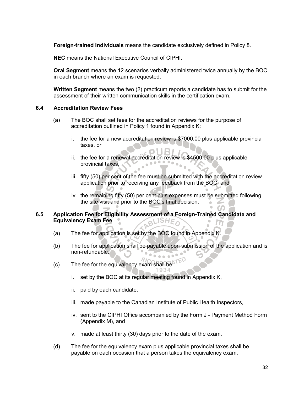**Foreign-trained Individuals** means the candidate exclusively defined in Policy 8.

**NEC** means the National Executive Council of CIPHI.

**Oral Segment** means the 12 scenarios verbally administered twice annually by the BOC in each branch where an exam is requested.

**Written Segment** means the two (2) practicum reports a candidate has to submit for the assessment of their written communication skills in the certification exam.

#### **6.4 Accreditation Review Fees**

- (a) The BOC shall set fees for the accreditation reviews for the purpose of accreditation outlined in Policy 1 found in Appendix K:
	- i. the fee for a new accreditation review is \$7000.00 plus applicable provincial taxes, or
	- ii. the fee for a renewal accreditation review is \$4500.00 plus applicable provincial taxes,
	- iii. fifty (50) per cent of the fee must be submitted with the accreditation review application prior to receiving any feedback from the BOC, and
	- iv. the remaining fifty (50) per cent plus expenses must be submitted following the site visit and prior to the BOC's final decision.

#### **6.5 Application Fee for Eligibility Assessment of a Foreign-Trained Candidate and Equivalency Exam Fee** aLISHE,

- (a) The fee for application is set by the BOC found in Appendix K.
- (b) The fee for application shall be payable upon submission of the application and is non-refundable.
- (c) The fee for the equivalency exam shall be:
	- i. set by the BOC at its regular meeting found in Appendix K,
	- ii. paid by each candidate,
	- iii. made payable to the Canadian Institute of Public Health Inspectors,
	- iv. sent to the CIPHI Office accompanied by the Form J Payment Method Form (Appendix M), and
	- v. made at least thirty (30) days prior to the date of the exam.
- (d) The fee for the equivalency exam plus applicable provincial taxes shall be payable on each occasion that a person takes the equivalency exam.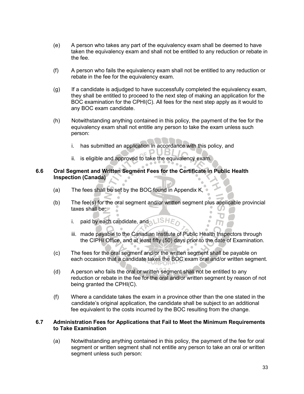- (e) A person who takes any part of the equivalency exam shall be deemed to have taken the equivalency exam and shall not be entitled to any reduction or rebate in the fee.
- (f) A person who fails the equivalency exam shall not be entitled to any reduction or rebate in the fee for the equivalency exam.
- (g) If a candidate is adjudged to have successfully completed the equivalency exam, they shall be entitled to proceed to the next step of making an application for the BOC examination for the CPHI(C). All fees for the next step apply as it would to any BOC exam candidate.
- (h) Notwithstanding anything contained in this policy, the payment of the fee for the equivalency exam shall not entitle any person to take the exam unless such person:

EPUB.

- i. has submitted an application in accordance with this policy, and
- ii. is eligible and approved to take the equivalency exam.

# **6.6 Oral Segment and Written Segment Fees for the Certificate in Public Health Inspection (Canada)**

- (a) The fees shall be set by the BOC found in Appendix K,
- (b) The fee(s) for the oral segment and/or written segment plus applicable provincial taxes shall be:  $\blacksquare$ 
	- i. paid by each candidate, and  $\bigcup$  SHE
	- iii. made payable to the Canadian Institute of Public Health Inspectors through the CIPHI Office, and at least fifty (50) days prior to the date of Examination.

 $\bullet$  $\blacksquare$ 

- (c) The fees for the oral segment and/or the written segment shall be payable on each occasion that a candidate takes the BOC exam oral and/or written segment.
- (d) A person who fails the oral or written segment shall not be entitled to any reduction or rebate in the fee for the oral and/or written segment by reason of not being granted the CPHI(C).
- (f) Where a candidate takes the exam in a province other than the one stated in the candidate's original application, the candidate shall be subject to an additional fee equivalent to the costs incurred by the BOC resulting from the change.

## **6.7 Administration Fees for Applications that Fail to Meet the Minimum Requirements to Take Examination**

(a) Notwithstanding anything contained in this policy, the payment of the fee for oral segment or written segment shall not entitle any person to take an oral or written segment unless such person: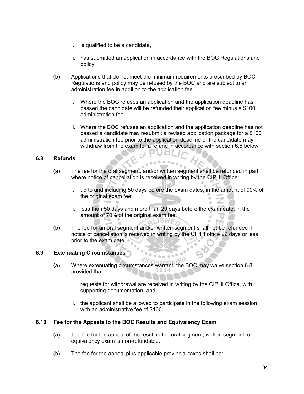- i. is qualified to be a candidate,
- ii. has submitted an application in accordance with the BOC Regulations and policy.
- (b) Applications that do not meet the minimum requirements prescribed by BOC Regulations and policy may be refused by the BOC and are subject to an administration fee in addition to the application fee.
	- i. Where the BOC refuses an application and the application deadline has passed the candidate will be refunded their application fee minus a \$100 administration fee.
	- ii. Where the BOC refuses an application and the application deadline has not passed a candidate may resubmit a revised application package for a \$100 administration fee prior to the application deadline or the candidate may withdraw from the exam for a refund in accordance with section 6.8 below.<br>

## **6.8 Refunds**

- (a) The fee for the oral segment, and/or written segment shall be refunded in part, where notice of cancellation is received in writing by the CIPHI Office:
	- i. up to and including 50 days before the exam dates, in the amount of 90% of the original exam fee;
	- ii. less than 50 days and more than 29 days before the exam date, in the amount of 70% of the original exam fee;<br>SHE
- (b) The fee for an oral segment and/or written segment shall not be refunded if notice of cancellation is received in writing by the CIPHI office 29 days or less prior to the exam date.

## **6.9 Extenuating Circumstances**

- (a) Where extenuating circumstances warrant, the BOC may waive section 6.8 provided that:
	- i. requests for withdrawal are received in writing by the CIPHI Office, with supporting documentation; and
	- ii. the applicant shall be allowed to participate in the following exam session with an administrative fee of \$100.

## **6.10 Fee for the Appeals to the BOC Results and Equivalency Exam**

- (a) The fee for the appeal of the result in the oral segment, written segment, or equivalency exam is non-refundable.
- (b) The fee for the appeal plus applicable provincial taxes shall be: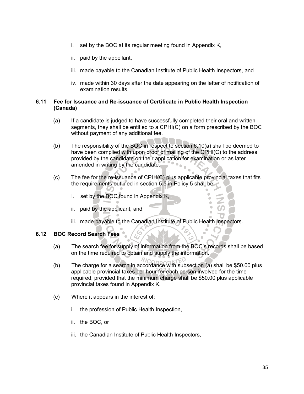- i. set by the BOC at its regular meeting found in Appendix K,
- ii. paid by the appellant,
- iii. made payable to the Canadian Institute of Public Health Inspectors, and
- iv. made within 30 days after the date appearing on the letter of notification of examination results.

## **6.11 Fee for Issuance and Re-issuance of Certificate in Public Health Inspection (Canada)**

- (a) If a candidate is judged to have successfully completed their oral and written segments, they shall be entitled to a CPHI(C) on a form prescribed by the BOC without payment of any additional fee.
- (b) The responsibility of the BOC in respect to section 6.10(a) shall be deemed to have been complied with upon proof of mailing of the CPHI(C) to the address provided by the candidate on their application for examination or as later amended in writing by the candidate.
- (c) The fee for the re-issuance of CPHI(C) plus applicable provincial taxes that fits the requirements outlined in section 5.5 in Policy 5 shall be:
	- i. set by the BOC found in Appendix K,
	- ii. paid by the applicant, and
	- iii. made payable to the Canadian Institute of Public Health Inspectors.

## **6.12 BOC Record Search Fees**

- (a) The search fee for supply of information from the BOC's records shall be based on the time required to obtain and supply the information.
- $N_{\text{C}}$ (b) The charge for a search in accordance with subsection (a) shall be \$50.00 plus applicable provincial taxes per hour for each person involved for the time required, provided that the minimum charge shall be \$50.00 plus applicable provincial taxes found in Appendix K.
- (c) Where it appears in the interest of:
	- i. the profession of Public Health Inspection,
	- ii. the BOC, or
	- iii. the Canadian Institute of Public Health Inspectors,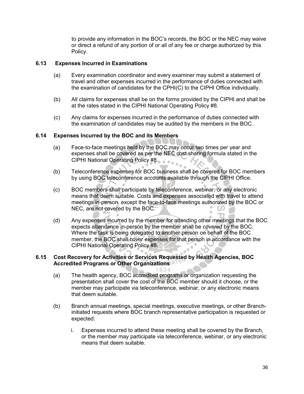to provide any information in the BOC's records, the BOC or the NEC may waive or direct a refund of any portion of or all of any fee or charge authorized by this Policy.

## **6.13 Expenses Incurred in Examinations**

- (a) Every examination coordinator and every examiner may submit a statement of travel and other expenses incurred in the performance of duties connected with the examination of candidates for the CPHI(C) to the CIPHI Office individually.
- (b) All claims for expenses shall be on the forms provided by the CIPHI and shall be at the rates stated in the CIPHI National Operating Policy #8.
- (c) Any claims for expenses incurred in the performance of duties connected with the examination of candidates may be audited by the members in the BOC.

## **6.14 Expenses Incurred by the BOC and its Members**

- (a) Face-to-face meetings held by the BOC may occur two times per year and expenses shall be covered as per the NEC cost sharing formula stated in the CIPHI National Operating Policy #8.
- (b) Teleconference expenses for BOC business shall be covered for BOC members by using BOC teleconference accounts available through the CIPHI Office.
- (c) BOC members shall participate by teleconference, webinar, or any electronic means that deem suitable. Costs and expenses associated with travel to attend meetings in-person, except the face-to-face meetings authorized by the BOC or NEC, are not covered by the BOC.
- (d) Any expenses incurred by the member for attending other meetings that the BOC expects attendance in-person by the member shall be covered by the BOC. Where the task is being delegated to another person on behalf of the BOC member, the BOC shall cover expenses for that person in accordance with the CIPHI National Operating Policy #8.

1934

## **6.15 Cost Recovery for Activities or Services Requested by Health Agencies, BOC Accredited Programs or Other Organizations**

- (a) The health agency, BOC accredited programs or organization requesting the presentation shall cover the cost of the BOC member should it choose, or the member may participate via teleconference, webinar, or any electronic means that deem suitable.
- (b) Branch annual meetings, special meetings, executive meetings, or other Branchinitiated requests where BOC branch representative participation is requested or expected:
	- i. Expenses incurred to attend these meeting shall be covered by the Branch, or the member may participate via teleconference, webinar, or any electronic means that deem suitable.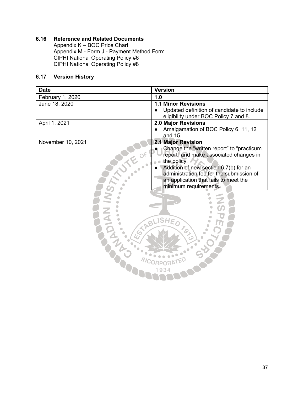## **6.16 Reference and Related Documents**

Appendix K – BOC Price Chart Appendix M - Form J - Payment Method Form CIPHI National Operating Policy #6 CIPHI National Operating Policy #8

## **6.17 Version History**

| <b>Date</b>       | <b>Version</b>                                                 |
|-------------------|----------------------------------------------------------------|
| February 1, 2020  | 1.0                                                            |
| June 18, 2020     | <b>1.1 Minor Revisions</b>                                     |
|                   | Updated definition of candidate to include                     |
|                   | eligibility under BOC Policy 7 and 8.                          |
| April 1, 2021     | 2.0 Major Revisions                                            |
|                   | Amalgamation of BOC Policy 6, 11, 12<br>and 15.                |
| November 10, 2021 | <b>2.1 Major Revision</b>                                      |
|                   | Change the "written report" to "practicum                      |
|                   | report" and make associated changes in                         |
|                   | the policy.                                                    |
|                   | Addition of new section 6.7(b) for an                          |
|                   | administration fee for the submission of                       |
|                   | an application that fails to meet the<br>minimum requirements. |
|                   |                                                                |
|                   |                                                                |
|                   |                                                                |
|                   |                                                                |
|                   | BLISHE                                                         |
|                   |                                                                |
|                   | $v_{\mathcal{S}_{\succ}}$                                      |
|                   |                                                                |
|                   |                                                                |
|                   |                                                                |
|                   |                                                                |
|                   | 934                                                            |
|                   |                                                                |
|                   |                                                                |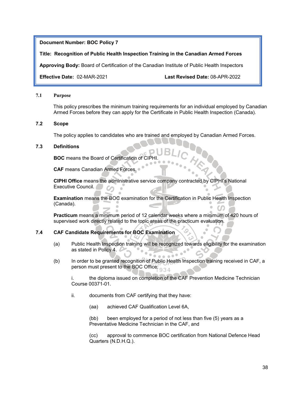#### **Title: Recognition of Public Health Inspection Training in the Canadian Armed Forces**

**Approving Body:** Board of Certification of the Canadian Institute of Public Health Inspectors

**Effective Date:** 02-MAR-2021 **Last Revised Date:** 08-APR-2022

#### **7.1 Purpose**

This policy prescribes the minimum training requirements for an individual employed by Canadian Armed Forces before they can apply for the Certificate in Public Health Inspection (Canada).

#### **7.2 Scope**

The policy applies to candidates who are trained and employed by Canadian Armed Forces.

#### **7.3 Definitions**

**BOC** means the Board of Certification of CIPHI.

**CAF** means Canadian Armed Forces.

**CIPHI Office** means the administrative service company contracted by CIPHI's National Executive Council.  $\sim$ 

**Examination** means the BOC examination for the Certification in Public Health Inspection (Canada).  $\sim$ 

**Practicum** means a minimum period of 12 calendar weeks where a minimum of 420 hours of supervised work directly related to the topic areas of the practicum evaluation.

## **7.4 CAF Candidate Requirements for BOC Examination**

- (a) Public Health Inspection training will be recognized towards eligibility for the examination as stated in Policy 4.
- (b) In order to be granted recognition of Public Health Inspection training received in CAF, a person must present to the BOC Office: 934

i. the diploma issued on completion of the CAF Prevention Medicine Technician Course 00371-01.

- ii. documents from CAF certifying that they have:
	- (aa) achieved CAF Qualification Level 6A,

(bb) been employed for a period of not less than five (5) years as a Preventative Medicine Technician in the CAF, and

(cc) approval to commence BOC certification from National Defence Head Quarters (N.D.H.Q.).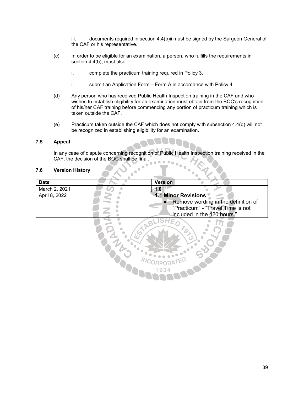iii. documents required in section 4.4(b)ii must be signed by the Surgeon General of the CAF or his representative.

- (c) In order to be eligible for an examination, a person, who fulfills the requirements in section 4.4(b), must also:
	- i. complete the practicum training required in Policy 3.
	- ii. submit an Application Form Form A in accordance with Policy 4.
- (d) Any person who has received Public Health Inspection training in the CAF and who wishes to establish eligibility for an examination must obtain from the BOC's recognition of his/her CAF training before commencing any portion of practicum training which is taken outside the CAF.
- (e) Practicum taken outside the CAF which does not comply with subsection 4.4(d) will not be recognized in establishing eligibility for an examination.

#### **7.5 Appeal**

In any case of dispute concerning recognition of Public Health Inspection training received in the CAF, the decision of the BOC shall be final. CAF, the decision of the BOC shall be final.

#### **7.6 Version History**

| <b>Date</b>   | <b>Version</b>                                                                                                      |
|---------------|---------------------------------------------------------------------------------------------------------------------|
| March 2, 2021 | 1.0                                                                                                                 |
| April 8, 2022 | <b>1.1 Minor Revisions</b><br>Remove wording in the definition of<br>$\bullet$<br>"Practicum" - "Travel Time is not |
|               | included in the 420 hours."                                                                                         |
|               | 1934                                                                                                                |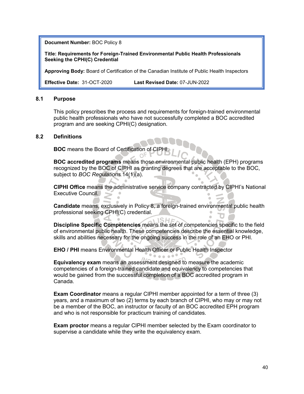**Title: Requirements for Foreign-Trained Environmental Public Health Professionals Seeking the CPHI(C) Credential**

**Approving Body:** Board of Certification of the Canadian Institute of Public Health Inspectors

**Effective Date:** 31-OCT-2020 **Last Revised Date:** 07-JUN-2022

#### **8.1 Purpose**

This policy prescribes the process and requirements for foreign-trained environmental public health professionals who have not successfully completed a BOC accredited program and are seeking CPHI(C) designation.

#### **8.2 Definitions**

**BOC** means the Board of Certification of CIPH

**BOC accredited programs** means those environmental public health (EPH) programs recognized by the BOC of CIPHI as granting degrees that are acceptable to the BOC, subject to *BOC Regulations* 14(1)(a).

**CIPHI Office** means the administrative service company contracted by CIPHI's National Executive Council.

**Candidate** means, exclusively in Policy 8, a foreign-trained environmental public health professional seeking CPHI(C) credential.

**Discipline Specific Competencies** means the set of competencies specific to the field of environmental public health. These competencies describe the essential knowledge, skills and abilities necessary for the ongoing success in the role of an EHO or PHI.

 $0.0000$ 

**EHO / PHI** means Environmental Health Officer or Public Health Inspector

**Equivalency exam** means an assessment designed to measure the academic competencies of a foreign-trained candidate and equivalency to competencies that would be gained from the successful completion of a BOC accredited program in Canada.

**Exam Coordinator** means a regular CIPHI member appointed for a term of three (3) years, and a maximum of two (2) terms by each branch of CIPHI, who may or may not be a member of the BOC, an instructor or faculty of an BOC accredited EPH program and who is not responsible for practicum training of candidates.

**Exam proctor** means a regular CIPHI member selected by the Exam coordinator to supervise a candidate while they write the equivalency exam.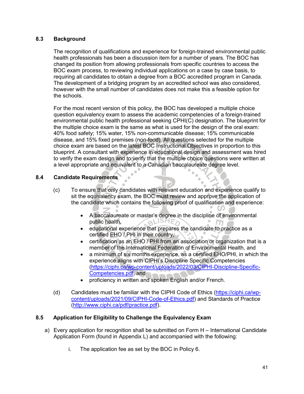## **8.3 Background**

The recognition of qualifications and experience for foreign-trained environmental public health professionals has been a discussion item for a number of years. The BOC has changed its position from allowing professionals from specific countries to access the BOC exam process, to reviewing individual applications on a case by case basis, to requiring all candidates to obtain a degree from a BOC accredited program in Canada. The development of a bridging program by an accredited school was also considered, however with the small number of candidates does not make this a feasible option for the schools.

For the most recent version of this policy, the BOC has developed a multiple choice question equivalency exam to assess the academic competencies of a foreign-trained environmental public health professional seeking CPHI(C) designation. The blueprint for the multiple choice exam is the same as what is used for the design of the oral exam: 40% food safety; 15% water, 15% non-communicable disease; 15% communicable disease, and 15% fixed premises (non-food). All questions selected for the multiple choice exam are based on the latest BOC Instructional Objectives in proportion to this blueprint. A consultant with experience in educational design and assessment was hired to verify the exam design and to verify that the multiple choice questions were written at a level appropriate and equivalent to a Canadian baccalaureate degree level.

## **8.4 Candidate Requirements**

- (c) To ensure that only candidates with relevant education and experience qualify to sit the equivalency exam, the BOC must review and approve the application of the candidate which contains the following proof of qualification and experience:
	- A baccalaureate or master's degree in the discipline of environmental public health, public health,
	- educational experience that prepares the candidate to practice as a certified EHO / PHI in their country,
	- certification as an EHO / PHI from an association or organization that is a member of the International Federation of Environmental Health, and
	- a minimum of six months experience, as a certified EHO/PHI, in which the experience aligns with CIPHI's Discipline Specific Competencies (https://ciphi.ca/wp-content/uploads/2022/03/CIPHI-Discipline-Specific-Competencies.pdf, and
	- proficiency in written and spoken English and/or French.
- (d) Candidates must be familiar with the CIPHI Code of Ethics (https://ciphi.ca/wpcontent/uploads/2021/09/CIPHI-Code-of-Ethics.pdf) and Standards of Practice (http://www.ciphi.ca/pdf/practice.pdf).

## **8.5 Application for Eligibility to Challenge the Equivalency Exam**

- a) Every application for recognition shall be submitted on Form H International Candidate Application Form (found in Appendix L) and accompanied with the following:
	- i. The application fee as set by the BOC in Policy 6.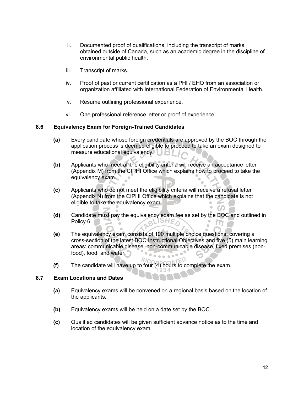- ii. Documented proof of qualifications, including the transcript of marks, obtained outside of Canada, such as an academic degree in the discipline of environmental public health.
- iii. Transcript of marks.
- iv. Proof of past or current certification as a PHI / EHO from an association or organization affiliated with International Federation of Environmental Health.
- v. Resume outlining professional experience.
- vi. One professional reference letter or proof of experience.

## **8.6 Equivalency Exam for Foreign-Trained Candidates**

- **(a)** Every candidate whose foreign credentials are approved by the BOC through the application process is deemed eligible to proceed to take an exam designed to measure educational equivalency.
- **(b)** Applicants who meet all the eligibility criteria will receive an acceptance letter (Appendix M) from the CIPHI Office which explains how to proceed to take the equivalency exam.
- **(c)** Applicants who do not meet the eligibility criteria will receive a refusal letter (Appendix N) from the CIPHI Office which explains that the candidate is not eligible to take the equivalency exam.
- **(d)** Candidate must pay the equivalency exam fee as set by the BOC and outlined in Policy 6. m
- **(e)** The equivalency exam consists of 100 multiple choice questions, covering a cross-section of the latest BOC Instructional Objectives and five (5) main learning areas: communicable disease, non-communicable disease, fixed premises (nonfood), food, and water. n.  $\sim$   $\sim$
- $M_{\bigcap}$ **(f)** The candidate will have up to four (4) hours to complete the exam.

## **8.7 Exam Locations and Dates**

- **(a)** Equivalency exams will be convened on a regional basis based on the location of the applicants.
- **(b)** Equivalency exams will be held on a date set by the BOC.
- **(c)** Qualified candidates will be given sufficient advance notice as to the time and location of the equivalency exam.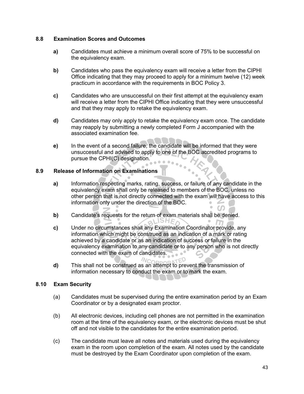## **8.8 Examination Scores and Outcomes**

- **a)** Candidates must achieve a minimum overall score of 75% to be successful on the equivalency exam.
- **b)** Candidates who pass the equivalency exam will receive a letter from the CIPHI Office indicating that they may proceed to apply for a minimum twelve (12) week practicum in accordance with the requirements in BOC Policy 3.
- **c)** Candidates who are unsuccessful on their first attempt at the equivalency exam will receive a letter from the CIPHI Office indicating that they were unsuccessful and that they may apply to retake the equivalency exam.
- **d)** Candidates may only apply to retake the equivalency exam once. The candidate may reapply by submitting a newly completed Form J accompanied with the associated examination fee.
- **e)** In the event of a second failure, the candidate will be informed that they were unsuccessful and advised to apply to one of the BOC accredited programs to pursue the CPHI(C) designation.  $\begin{array}{c} \bullet & \bullet & \bullet \\ \bullet & \bullet & \bullet \end{array}$

## **8.9 Release of Information on Examinations**

- **a)** Information respecting marks, rating, success, or failure of any candidate in the equivalency exam shall only be released to members of the BOC, unless no other person that is not directly connected with the exam will have access to this information only under the direction of the BOC.
- **b)** Candidate's requests for the return of exam materials shall be denied.<br>ISHE
- **c)** Under no circumstances shall any Examination Coordinator provide, any information which might be construed as an indication of a mark or rating achieved by a candidate or as an indication of success or failure in the equivalency examination to any candidate or to any person who is not directly connected with the exam of candidates.
- **d)** This shall not be construed as an attempt to prevent the transmission of information necessary to conduct the exam or to mark the exam.

## **8.10 Exam Security**

- (a) Candidates must be supervised during the entire examination period by an Exam Coordinator or by a designated exam proctor.
- (b) All electronic devices, including cell phones are not permitted in the examination room at the time of the equivalency exam, or the electronic devices must be shut off and not visible to the candidates for the entire examination period.
- (c) The candidate must leave all notes and materials used during the equivalency exam in the room upon completion of the exam. All notes used by the candidate must be destroyed by the Exam Coordinator upon completion of the exam.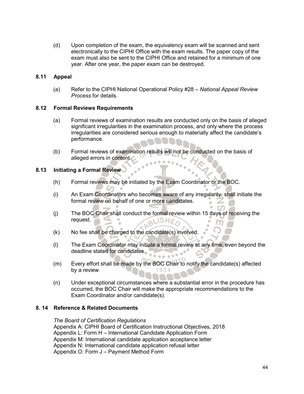(d) Upon completion of the exam, the equivalency exam will be scanned and sent electronically to the CIPHI Office with the exam results. The paper copy of the exam must also be sent to the CIPHI Office and retained for a minimum of one year. After one year, the paper exam can be destroyed.

## **8.11 Appeal**

(a) Refer to the CIPHI National Operational Policy #28 – *National Appeal Review Process* for details.

## **8.12 Formal Reviews Requirements**

- (a) Formal reviews of examination results are conducted only on the basis of alleged significant irregularities in the examination process, and only where the process irregularities are considered serious enough to materially affect the candidate's performance.
- (b) Formal reviews of examination results will not be conducted on the basis of alleged errors in content.  $\bullet\bullet\bullet$

## **8.13 Initiating a Formal Review**

- (h) Formal reviews may be initiated by the Exam Coordinator or the BOC.
- (i) An Exam Coordinators who becomes aware of any irregularity, shall initiate the formal review on behalf of one or more candidates.
- (j) The BOC Chair shall conduct the formal review within 15 days of receiving the request. **ISHET**
- (k) No fee shall be charged to the candidate(s) involved.
- (l) The Exam Coordinator may initiate a formal review at any time, even beyond the deadline stated for candidates.
- (m) Every effort shall be made by the BOC Chair to notify the candidate(s) affected by a review.
- (n) Under exceptional circumstances where a substantial error in the procedure has occurred, the BOC Chair will make the appropriate recommendations to the Exam Coordinator and/or candidate(s).

## **8. 14 Reference & Related Documents**

#### *The Board of Certification Regulations*

Appendix A: CIPHI Board of Certification Instructional Objectives, 2018 Appendix L: Form H – International Candidate Application Form Appendix M: International candidate application acceptance letter Appendix N: International candidate application refusal letter Appendix O: Form J – Payment Method Form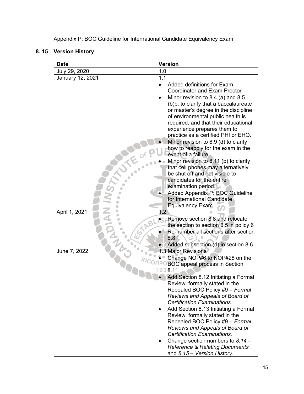Appendix P: BOC Guideline for International Candidate Equivalency Exam

# **8. 15 Version History**

| <b>Date</b>         | <b>Version</b>                                                              |
|---------------------|-----------------------------------------------------------------------------|
| July 29, 2020       | 1.0                                                                         |
| January 12, 2021    | 1.1                                                                         |
|                     | Added definitions for Exam                                                  |
|                     | <b>Coordinator and Exam Proctor</b>                                         |
|                     | Minor revision to 8.4 (a) and 8.5                                           |
|                     | (b)b. to clarify that a baccalaureate                                       |
|                     | or master's degree in the discipline                                        |
|                     | of environmental public health is                                           |
|                     | required, and that their educational                                        |
|                     | experience prepares them to                                                 |
|                     | practice as a certified PHI or EHO.                                         |
|                     | Minor revision to 8.9 (d) to clarify                                        |
|                     | how to reapply for the exam in the                                          |
|                     | event of a failure.                                                         |
|                     | Minor revision to 8.11 (b) to clarify<br>that cell phones may alternatively |
|                     | be shut off and not visible to                                              |
|                     | candidates for the entire                                                   |
|                     | examination period.                                                         |
|                     | Added Appendix P: BOC Guideline                                             |
|                     | for International Candidate                                                 |
|                     | <b>Equivalency Exam</b>                                                     |
| April 1, 2021       | 1.2                                                                         |
|                     | • Remove section 8.8 and relocate                                           |
|                     | the section to section 6.5 in policy 6                                      |
| $\dot{\mathcal{G}}$ | Re-number all sections after section                                        |
|                     | 8.8                                                                         |
|                     | Added subsection (d) in section 8.6.                                        |
| June 7, 2022        | 1.3 Major Revisions                                                         |
|                     | Change NOP#6 to NOP#28 on the<br><b>BOC</b> appeal process in Section       |
|                     | 6.11.                                                                       |
|                     | Add Section 8.12 Initiating a Formal                                        |
|                     | Review, formally stated in the                                              |
|                     | Repealed BOC Policy #9 - Formal                                             |
|                     | Reviews and Appeals of Board of                                             |
|                     | Certification Examinations.                                                 |
|                     | Add Section 8.13 Initiating a Formal                                        |
|                     | Review, formally stated in the                                              |
|                     | Repealed BOC Policy #9 - Formal                                             |
|                     | Reviews and Appeals of Board of                                             |
|                     | <b>Certification Examinations.</b>                                          |
|                     | Change section numbers to $8.14 -$                                          |
|                     | <b>Reference &amp; Relating Documents</b>                                   |
|                     | and 8.15 - Version History.                                                 |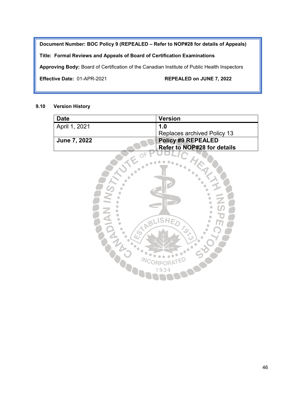**Document Number: BOC Policy 9 (REPEALED – Refer to NOP#28 for details of Appeals)**

## **Title: Formal Reviews and Appeals of Board of Certification Examinations**

**Approving Body:** Board of Certification of the Canadian Institute of Public Health Inspectors

**Effective Date:** 01-APR-2021 **REPEALED on JUNE 7, 2022**

#### **9.10 Version History**

| <b>Date</b>         | <b>Version</b>                     |
|---------------------|------------------------------------|
| April 1, 2021       | 1.0                                |
|                     | <b>Replaces archived Policy 13</b> |
| <b>June 7, 2022</b> | <b>Policy #9 REPEALED</b>          |
|                     | <b>Refer to NOP#28 for details</b> |

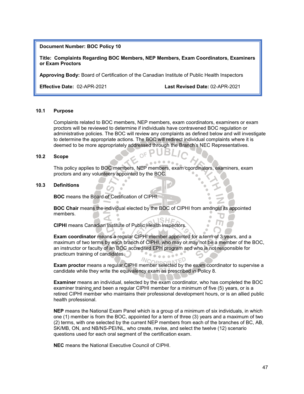**Title: Complaints Regarding BOC Members, NEP Members, Exam Coordinators, Examiners or Exam Proctors**

**Approving Body:** Board of Certification of the Canadian Institute of Public Health Inspectors

**Effective Date:** 02-APR-2021 **Last Revised Date:** 02-APR-2021

#### **10.1 Purpose**

Complaints related to BOC members, NEP members, exam coordinators, examiners or exam proctors will be reviewed to determine if individuals have contravened BOC regulation or administrative policies. The BOC will review any complaints as defined below and will investigate to determine the appropriate actions. The BOC will redirect individual complaints where it is deemed to be more appropriately addressed through the Branch's NEC Representatives.

#### **10.2 Scope**

This policy applies to BOC members, NEP members, exam coordinators, examiners, exam proctors and any volunteers appointed by the BOC.

 $OFP$ 

#### **10.3 Definitions**

**BOC** means the Board of Certification of CIPHI.

**BOC Chair** means the individual elected by the BOC of CIPHI from amongst its appointed members.

**CIPHI** means Canadian Institute of Public Health Inspectors.

**Exam coordinator** means a regular CIPHI member appointed for a term of 3 years, and a maximum of two terms by each branch of CIPHI, who may or may not be a member of the BOC, an instructor or faculty of an BOC accredited EPH program and who is not responsible for practicum training of candidates.

**Exam proctor** means a regular CIPHI member selected by the exam coordinator to supervise a candidate while they write the equivalency exam as prescribed in Policy 8.

**Examiner** means an individual, selected by the exam coordinator, who has completed the BOC examiner training and been a regular CIPHI member for a minimum of five (5) years, or is a retired CIPHI member who maintains their professional development hours, or is an allied public health professional.

**NEP** means the National Exam Panel which is a group of a minimum of six individuals, in which one (1) member is from the BOC, appointed for a term of three (3) years and a maximum of two (2) terms, with one selected by the current NEP members from each of the branches of BC, AB, SK/MB, ON, and NB/NS-PEI/NL, who create, revise, and select the twelve (12) scenario questions used for each oral segment of the certification exam.

**NEC** means the National Executive Council of CIPHI.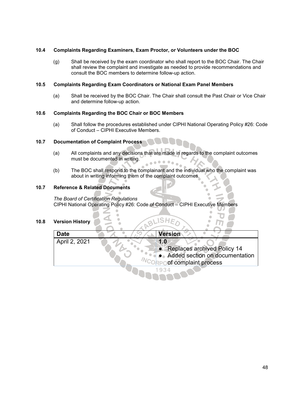#### **10.4 Complaints Regarding Examiners, Exam Proctor, or Volunteers under the BOC**

(g) Shall be received by the exam coordinator who shall report to the BOC Chair. The Chair shall review the complaint and investigate as needed to provide recommendations and consult the BOC members to determine follow-up action.

#### **10.5 Complaints Regarding Exam Coordinators or National Exam Panel Members**

(a) Shall be received by the BOC Chair. The Chair shall consult the Past Chair or Vice Chair and determine follow-up action.

#### **10.6 Complaints Regarding the BOC Chair or BOC Members**

(a) Shall follow the procedures established under CIPHI National Operating Policy #26: Code of Conduct – CIPHI Executive Members.

#### **10.7 Documentation of Complaint Process**

- (a) All complaints and any decisions that are made in regards to the complaint outcomes must be documented in writing.
- The BOC shall respond to the complainant and the individual who the complaint was about in writing informing them of the complaint outcomes.

#### **10.7 Reference & Related Documents**

*The Board of Certification Regulations* CIPHI National Operating Policy #26: Code of Conduct – CIPHI Executive Members

#### **10.8 Version History**

| <b>Date</b>   | <b>Version</b>                   |
|---------------|----------------------------------|
| April 2, 2021 | 1.0                              |
|               | • Replaces archived Policy 14    |
|               | • Added section on documentation |
|               | of complaint process             |
|               | 1934                             |

**UINNY** 

BLISHE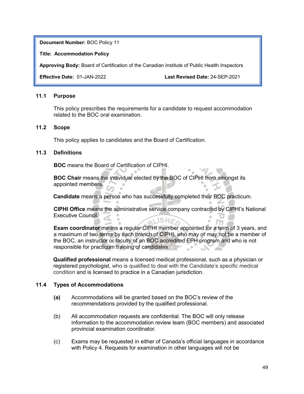**Title: Accommodation Policy**

**Approving Body:** Board of Certification of the Canadian Institute of Public Health Inspectors

**Effective Date:** 01-JAN-2022 **Last Revised Date:** 24-SEP-2021

## **11.1 Purpose**

This policy prescribes the requirements for a candidate to request accommodation related to the BOC oral examination.

## **11.2 Scope**

This policy applies to candidates and the Board of Certification.

## **11.3 Definitions**

**BOC** means the Board of Certification of CIPHI.

**BOC Chair** means the individual elected by the BOC of CIPHI from amongst its appointed members.

**Candidate** means a person who has successfully completed their BOC practicum.

**CIPHI Office** means the administrative service company contracted by CIPHI's National Executive Council. **ALISHEA** 

**Exam coordinator** means a regular CIPHI member appointed for a term of 3 years, and a maximum of two terms by each branch of CIPHI, who may or may not be a member of the BOC, an instructor or faculty of an BOC accredited EPH program and who is not responsible for practicum training of candidates.  $\sim$  0

**Qualified professional** means a licensed medical professional, such as a physician or registered psychologist, who is qualified to deal with the Candidate's specific medical condition and is licensed to practice in a Canadian jurisdiction.

## **11.4 Types of Accommodations**

- **(a)** Accommodations will be granted based on the BOC's review of the recommendations provided by the qualified professional.
- (b) All accommodation requests are confidential. The BOC will only release information to the accommodation review team (BOC members) and associated provincial examination coordinator.
- (c) Exams may be requested in either of Canada's official languages in accordance with Policy 4. Requests for examination in other languages will not be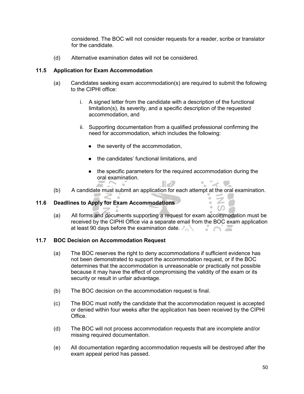considered. The BOC will not consider requests for a reader, scribe or translator for the candidate.

(d) Alternative examination dates will not be considered.

## **11.5 Application for Exam Accommodation**

- (a) Candidates seeking exam accommodation(s) are required to submit the following to the CIPHI office:
	- i. A signed letter from the candidate with a description of the functional limitation(s), its severity, and a specific description of the requested accommodation, and
	- ii. Supporting documentation from a qualified professional confirming the need for accommodation, which includes the following:
		- the severity of the accommodation,
		- the candidates' functional limitations, and
		- the specific parameters for the required accommodation during the oral examination.  $\mathbb{R}$ s an

 $\cdot$  2  $\bullet$  co

(b) A candidate must submit an application for each attempt at the oral examination.

## **11.6 Deadlines to Apply for Exam Accommodations**

(a) All forms and documents supporting a request for exam accommodation must be received by the CIPHI Office via a separate email from the BOC exam application at least 90 days before the examination date.

#### **11.7 BOC Decision on Accommodation Request**

- (a) The BOC reserves the right to deny accommodations if sufficient evidence has not been demonstrated to support the accommodation request, or if the BOC determines that the accommodation is unreasonable or practically not possible because it may have the effect of compromising the validity of the exam or its security or result in unfair advantage.
- (b) The BOC decision on the accommodation request is final.
- (c) The BOC must notify the candidate that the accommodation request is accepted or denied within four weeks after the application has been received by the CIPHI **Office**
- (d) The BOC will not process accommodation requests that are incomplete and/or missing required documentation.
- (e) All documentation regarding accommodation requests will be destroyed after the exam appeal period has passed.